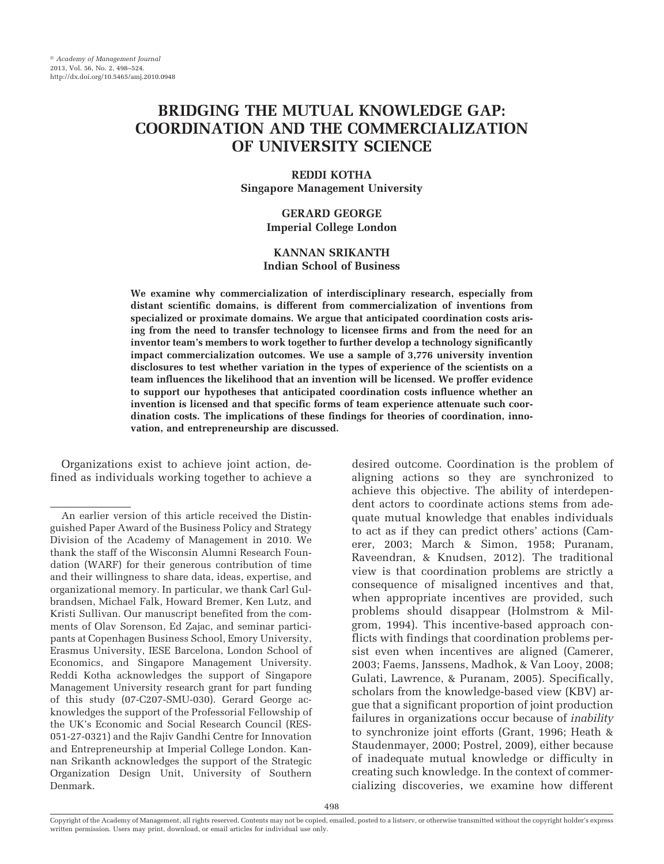# **BRIDGING THE MUTUAL KNOWLEDGE GAP: COORDINATION AND THE COMMERCIALIZATION OF UNIVERSITY SCIENCE**

# **REDDI KOTHA Singapore Management University**

# **GERARD GEORGE Imperial College London**

## **KANNAN SRIKANTH Indian School of Business**

**We examine why commercialization of interdisciplinary research, especially from distant scientific domains, is different from commercialization of inventions from specialized or proximate domains. We argue that anticipated coordination costs arising from the need to transfer technology to licensee firms and from the need for an inventor team's members to work together to further develop a technology significantly impact commercialization outcomes. We use a sample of 3,776 university invention disclosures to test whether variation in the types of experience of the scientists on a team influences the likelihood that an invention will be licensed. We proffer evidence to support our hypotheses that anticipated coordination costs influence whether an invention is licensed and that specific forms of team experience attenuate such coordination costs. The implications of these findings for theories of coordination, innovation, and entrepreneurship are discussed.**

Organizations exist to achieve joint action, defined as individuals working together to achieve a desired outcome. Coordination is the problem of aligning actions so they are synchronized to achieve this objective. The ability of interdependent actors to coordinate actions stems from adequate mutual knowledge that enables individuals to act as if they can predict others' actions (Camerer, 2003; March & Simon, 1958; Puranam, Raveendran, & Knudsen, 2012). The traditional view is that coordination problems are strictly a consequence of misaligned incentives and that, when appropriate incentives are provided, such problems should disappear (Holmstrom & Milgrom, 1994). This incentive-based approach conflicts with findings that coordination problems persist even when incentives are aligned (Camerer, 2003; Faems, Janssens, Madhok, & Van Looy, 2008; Gulati, Lawrence, & Puranam, 2005). Specifically, scholars from the knowledge-based view (KBV) argue that a significant proportion of joint production failures in organizations occur because of *inability* to synchronize joint efforts (Grant, 1996; Heath & Staudenmayer, 2000; Postrel, 2009), either because of inadequate mutual knowledge or difficulty in creating such knowledge. In the context of commercializing discoveries, we examine how different

An earlier version of this article received the Distinguished Paper Award of the Business Policy and Strategy Division of the Academy of Management in 2010. We thank the staff of the Wisconsin Alumni Research Foundation (WARF) for their generous contribution of time and their willingness to share data, ideas, expertise, and organizational memory. In particular, we thank Carl Gulbrandsen, Michael Falk, Howard Bremer, Ken Lutz, and Kristi Sullivan. Our manuscript benefited from the comments of Olav Sorenson, Ed Zajac, and seminar participants at Copenhagen Business School, Emory University, Erasmus University, IESE Barcelona, London School of Economics, and Singapore Management University. Reddi Kotha acknowledges the support of Singapore Management University research grant for part funding of this study (07-C207-SMU-030). Gerard George acknowledges the support of the Professorial Fellowship of the UK's Economic and Social Research Council (RES-051-27-0321) and the Rajiv Gandhi Centre for Innovation and Entrepreneurship at Imperial College London. Kannan Srikanth acknowledges the support of the Strategic Organization Design Unit, University of Southern Denmark.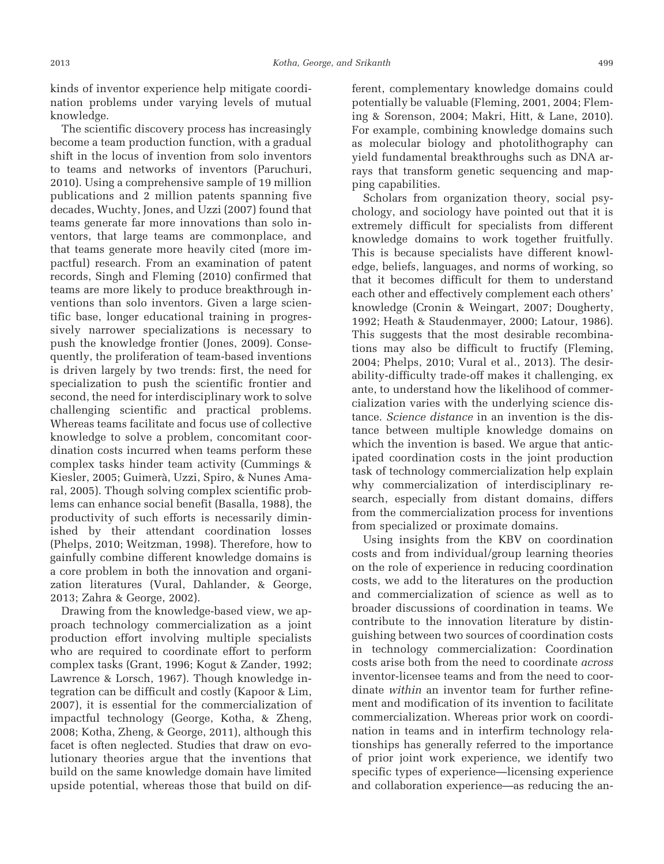kinds of inventor experience help mitigate coordination problems under varying levels of mutual knowledge.

The scientific discovery process has increasingly become a team production function, with a gradual shift in the locus of invention from solo inventors to teams and networks of inventors (Paruchuri, 2010). Using a comprehensive sample of 19 million publications and 2 million patents spanning five decades, Wuchty, Jones, and Uzzi (2007) found that teams generate far more innovations than solo inventors, that large teams are commonplace, and that teams generate more heavily cited (more impactful) research. From an examination of patent records, Singh and Fleming (2010) confirmed that teams are more likely to produce breakthrough inventions than solo inventors. Given a large scientific base, longer educational training in progressively narrower specializations is necessary to push the knowledge frontier (Jones, 2009). Consequently, the proliferation of team-based inventions is driven largely by two trends: first, the need for specialization to push the scientific frontier and second, the need for interdisciplinary work to solve challenging scientific and practical problems. Whereas teams facilitate and focus use of collective knowledge to solve a problem, concomitant coordination costs incurred when teams perform these complex tasks hinder team activity (Cummings & Kiesler, 2005; Guimerà, Uzzi, Spiro, & Nunes Amaral, 2005). Though solving complex scientific problems can enhance social benefit (Basalla, 1988), the productivity of such efforts is necessarily diminished by their attendant coordination losses (Phelps, 2010; Weitzman, 1998). Therefore, how to gainfully combine different knowledge domains is a core problem in both the innovation and organization literatures (Vural, Dahlander, & George, 2013; Zahra & George, 2002).

Drawing from the knowledge-based view, we approach technology commercialization as a joint production effort involving multiple specialists who are required to coordinate effort to perform complex tasks (Grant, 1996; Kogut & Zander, 1992; Lawrence & Lorsch, 1967). Though knowledge integration can be difficult and costly (Kapoor & Lim, 2007), it is essential for the commercialization of impactful technology (George, Kotha, & Zheng, 2008; Kotha, Zheng, & George, 2011), although this facet is often neglected. Studies that draw on evolutionary theories argue that the inventions that build on the same knowledge domain have limited upside potential, whereas those that build on different, complementary knowledge domains could potentially be valuable (Fleming, 2001, 2004; Fleming & Sorenson, 2004; Makri, Hitt, & Lane, 2010). For example, combining knowledge domains such as molecular biology and photolithography can yield fundamental breakthroughs such as DNA arrays that transform genetic sequencing and mapping capabilities.

Scholars from organization theory, social psychology, and sociology have pointed out that it is extremely difficult for specialists from different knowledge domains to work together fruitfully. This is because specialists have different knowledge, beliefs, languages, and norms of working, so that it becomes difficult for them to understand each other and effectively complement each others' knowledge (Cronin & Weingart, 2007; Dougherty, 1992; Heath & Staudenmayer, 2000; Latour, 1986). This suggests that the most desirable recombinations may also be difficult to fructify (Fleming, 2004; Phelps, 2010; Vural et al., 2013). The desirability-difficulty trade-off makes it challenging, ex ante, to understand how the likelihood of commercialization varies with the underlying science distance. *Science distance* in an invention is the distance between multiple knowledge domains on which the invention is based. We argue that anticipated coordination costs in the joint production task of technology commercialization help explain why commercialization of interdisciplinary research, especially from distant domains, differs from the commercialization process for inventions from specialized or proximate domains.

Using insights from the KBV on coordination costs and from individual/group learning theories on the role of experience in reducing coordination costs, we add to the literatures on the production and commercialization of science as well as to broader discussions of coordination in teams. We contribute to the innovation literature by distinguishing between two sources of coordination costs in technology commercialization: Coordination costs arise both from the need to coordinate *across* inventor-licensee teams and from the need to coordinate *within* an inventor team for further refinement and modification of its invention to facilitate commercialization. Whereas prior work on coordination in teams and in interfirm technology relationships has generally referred to the importance of prior joint work experience, we identify two specific types of experience—licensing experience and collaboration experience—as reducing the an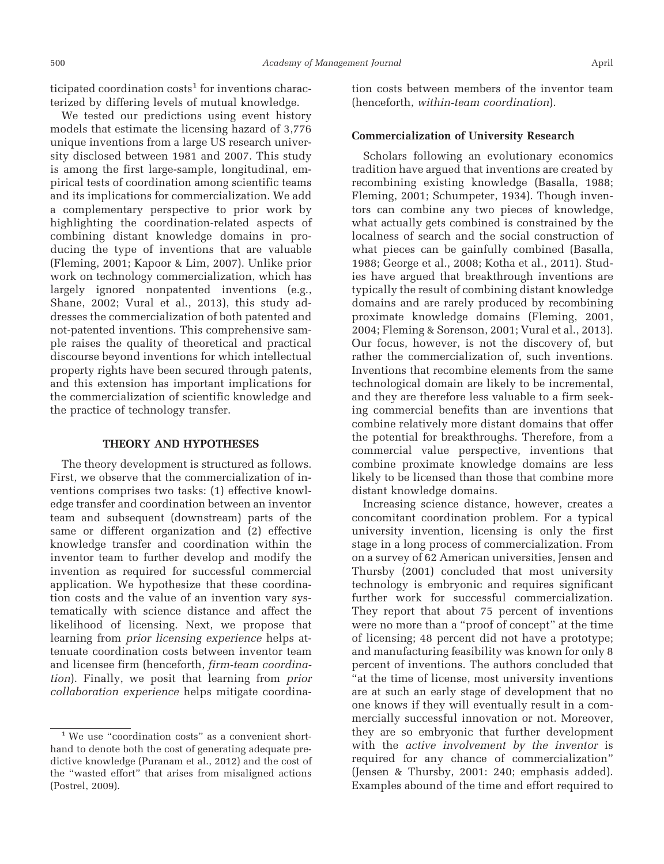ticipated coordination  $costs<sup>1</sup>$  for inventions characterized by differing levels of mutual knowledge.

We tested our predictions using event history models that estimate the licensing hazard of 3,776 unique inventions from a large US research university disclosed between 1981 and 2007. This study is among the first large-sample, longitudinal, empirical tests of coordination among scientific teams and its implications for commercialization. We add a complementary perspective to prior work by highlighting the coordination-related aspects of combining distant knowledge domains in producing the type of inventions that are valuable (Fleming, 2001; Kapoor & Lim, 2007). Unlike prior work on technology commercialization, which has largely ignored nonpatented inventions (e.g., Shane, 2002; Vural et al., 2013), this study addresses the commercialization of both patented and not-patented inventions. This comprehensive sample raises the quality of theoretical and practical discourse beyond inventions for which intellectual property rights have been secured through patents, and this extension has important implications for the commercialization of scientific knowledge and the practice of technology transfer.

## **THEORY AND HYPOTHESES**

The theory development is structured as follows. First, we observe that the commercialization of inventions comprises two tasks: (1) effective knowledge transfer and coordination between an inventor team and subsequent (downstream) parts of the same or different organization and (2) effective knowledge transfer and coordination within the inventor team to further develop and modify the invention as required for successful commercial application. We hypothesize that these coordination costs and the value of an invention vary systematically with science distance and affect the likelihood of licensing. Next, we propose that learning from *prior licensing experience* helps attenuate coordination costs between inventor team and licensee firm (henceforth, *firm-team coordination*). Finally, we posit that learning from *prior collaboration experience* helps mitigate coordination costs between members of the inventor team (henceforth, *within-team coordination*).

## **Commercialization of University Research**

Scholars following an evolutionary economics tradition have argued that inventions are created by recombining existing knowledge (Basalla, 1988; Fleming, 2001; Schumpeter, 1934). Though inventors can combine any two pieces of knowledge, what actually gets combined is constrained by the localness of search and the social construction of what pieces can be gainfully combined (Basalla, 1988; George et al., 2008; Kotha et al., 2011). Studies have argued that breakthrough inventions are typically the result of combining distant knowledge domains and are rarely produced by recombining proximate knowledge domains (Fleming, 2001, 2004; Fleming & Sorenson, 2001; Vural et al., 2013). Our focus, however, is not the discovery of, but rather the commercialization of, such inventions. Inventions that recombine elements from the same technological domain are likely to be incremental, and they are therefore less valuable to a firm seeking commercial benefits than are inventions that combine relatively more distant domains that offer the potential for breakthroughs. Therefore, from a commercial value perspective, inventions that combine proximate knowledge domains are less likely to be licensed than those that combine more distant knowledge domains.

Increasing science distance, however, creates a concomitant coordination problem. For a typical university invention, licensing is only the first stage in a long process of commercialization. From on a survey of 62 American universities, Jensen and Thursby (2001) concluded that most university technology is embryonic and requires significant further work for successful commercialization. They report that about 75 percent of inventions were no more than a "proof of concept" at the time of licensing; 48 percent did not have a prototype; and manufacturing feasibility was known for only 8 percent of inventions. The authors concluded that "at the time of license, most university inventions are at such an early stage of development that no one knows if they will eventually result in a commercially successful innovation or not. Moreover, they are so embryonic that further development with the *active involvement by the inventor* is required for any chance of commercialization" (Jensen & Thursby, 2001: 240; emphasis added). Examples abound of the time and effort required to

<sup>&</sup>lt;sup>1</sup> We use "coordination costs" as a convenient shorthand to denote both the cost of generating adequate predictive knowledge (Puranam et al., 2012) and the cost of the "wasted effort" that arises from misaligned actions (Postrel, 2009).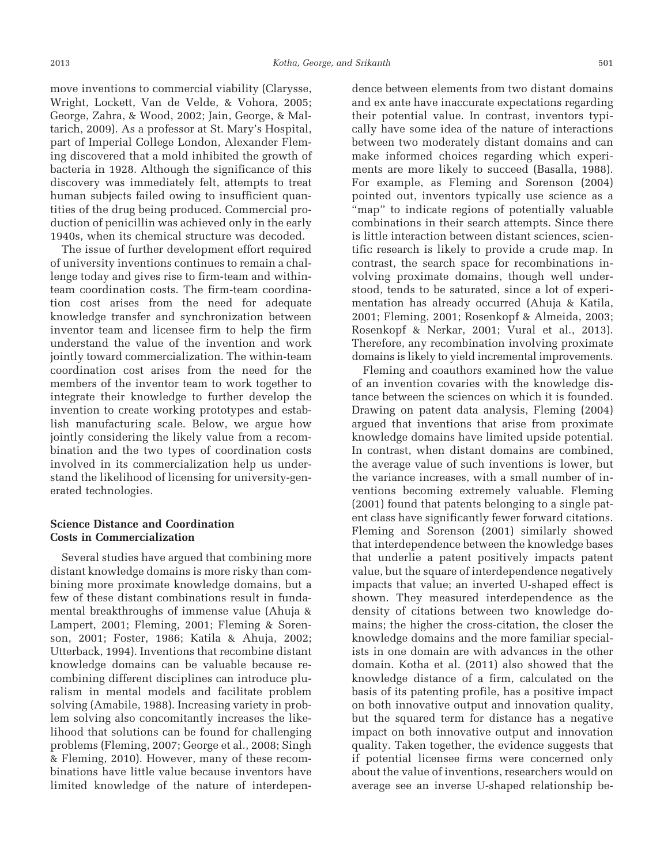move inventions to commercial viability (Clarysse, Wright, Lockett, Van de Velde, & Vohora, 2005; George, Zahra, & Wood, 2002; Jain, George, & Maltarich, 2009). As a professor at St. Mary's Hospital, part of Imperial College London, Alexander Fleming discovered that a mold inhibited the growth of bacteria in 1928. Although the significance of this discovery was immediately felt, attempts to treat human subjects failed owing to insufficient quantities of the drug being produced. Commercial production of penicillin was achieved only in the early 1940s, when its chemical structure was decoded.

The issue of further development effort required of university inventions continues to remain a challenge today and gives rise to firm-team and withinteam coordination costs. The firm-team coordination cost arises from the need for adequate knowledge transfer and synchronization between inventor team and licensee firm to help the firm understand the value of the invention and work jointly toward commercialization. The within-team coordination cost arises from the need for the members of the inventor team to work together to integrate their knowledge to further develop the invention to create working prototypes and establish manufacturing scale. Below, we argue how jointly considering the likely value from a recombination and the two types of coordination costs involved in its commercialization help us understand the likelihood of licensing for university-generated technologies.

## **Science Distance and Coordination Costs in Commercialization**

Several studies have argued that combining more distant knowledge domains is more risky than combining more proximate knowledge domains, but a few of these distant combinations result in fundamental breakthroughs of immense value (Ahuja & Lampert, 2001; Fleming, 2001; Fleming & Sorenson, 2001; Foster, 1986; Katila & Ahuja, 2002; Utterback, 1994). Inventions that recombine distant knowledge domains can be valuable because recombining different disciplines can introduce pluralism in mental models and facilitate problem solving (Amabile, 1988). Increasing variety in problem solving also concomitantly increases the likelihood that solutions can be found for challenging problems (Fleming, 2007; George et al., 2008; Singh & Fleming, 2010). However, many of these recombinations have little value because inventors have limited knowledge of the nature of interdependence between elements from two distant domains and ex ante have inaccurate expectations regarding their potential value. In contrast, inventors typically have some idea of the nature of interactions between two moderately distant domains and can make informed choices regarding which experiments are more likely to succeed (Basalla, 1988). For example, as Fleming and Sorenson (2004) pointed out, inventors typically use science as a "map" to indicate regions of potentially valuable combinations in their search attempts. Since there is little interaction between distant sciences, scientific research is likely to provide a crude map. In contrast, the search space for recombinations involving proximate domains, though well understood, tends to be saturated, since a lot of experimentation has already occurred (Ahuja & Katila, 2001; Fleming, 2001; Rosenkopf & Almeida, 2003; Rosenkopf & Nerkar, 2001; Vural et al., 2013). Therefore, any recombination involving proximate domains is likely to yield incremental improvements.

Fleming and coauthors examined how the value of an invention covaries with the knowledge distance between the sciences on which it is founded. Drawing on patent data analysis, Fleming (2004) argued that inventions that arise from proximate knowledge domains have limited upside potential. In contrast, when distant domains are combined, the average value of such inventions is lower, but the variance increases, with a small number of inventions becoming extremely valuable. Fleming (2001) found that patents belonging to a single patent class have significantly fewer forward citations. Fleming and Sorenson (2001) similarly showed that interdependence between the knowledge bases that underlie a patent positively impacts patent value, but the square of interdependence negatively impacts that value; an inverted U-shaped effect is shown. They measured interdependence as the density of citations between two knowledge domains; the higher the cross-citation, the closer the knowledge domains and the more familiar specialists in one domain are with advances in the other domain. Kotha et al. (2011) also showed that the knowledge distance of a firm, calculated on the basis of its patenting profile, has a positive impact on both innovative output and innovation quality, but the squared term for distance has a negative impact on both innovative output and innovation quality. Taken together, the evidence suggests that if potential licensee firms were concerned only about the value of inventions, researchers would on average see an inverse U-shaped relationship be-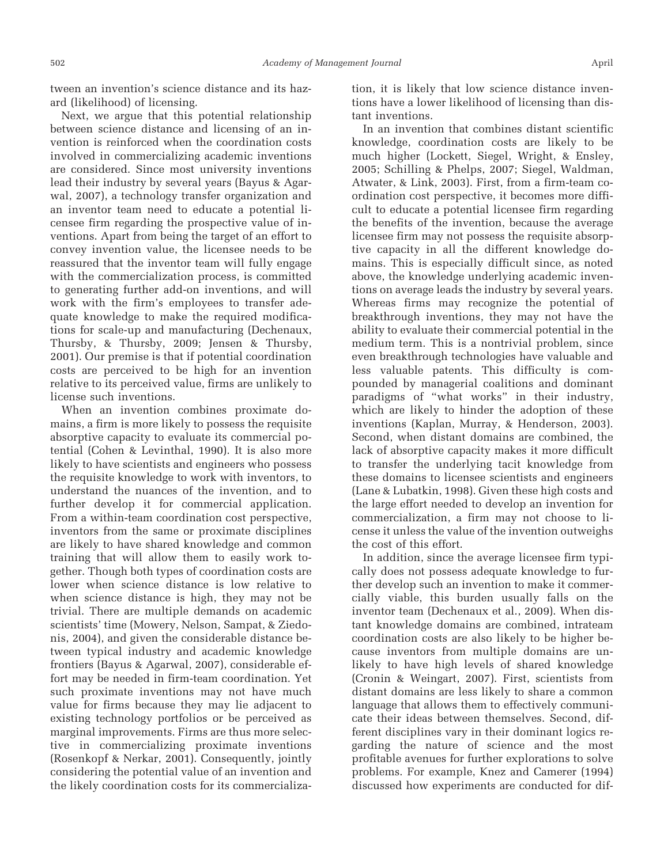tween an invention's science distance and its hazard (likelihood) of licensing.

Next, we argue that this potential relationship between science distance and licensing of an invention is reinforced when the coordination costs involved in commercializing academic inventions are considered. Since most university inventions lead their industry by several years (Bayus & Agarwal, 2007), a technology transfer organization and an inventor team need to educate a potential licensee firm regarding the prospective value of inventions. Apart from being the target of an effort to convey invention value, the licensee needs to be reassured that the inventor team will fully engage with the commercialization process, is committed to generating further add-on inventions, and will work with the firm's employees to transfer adequate knowledge to make the required modifications for scale-up and manufacturing (Dechenaux, Thursby, & Thursby, 2009; Jensen & Thursby, 2001). Our premise is that if potential coordination costs are perceived to be high for an invention relative to its perceived value, firms are unlikely to license such inventions.

When an invention combines proximate domains, a firm is more likely to possess the requisite absorptive capacity to evaluate its commercial potential (Cohen & Levinthal, 1990). It is also more likely to have scientists and engineers who possess the requisite knowledge to work with inventors, to understand the nuances of the invention, and to further develop it for commercial application. From a within-team coordination cost perspective, inventors from the same or proximate disciplines are likely to have shared knowledge and common training that will allow them to easily work together. Though both types of coordination costs are lower when science distance is low relative to when science distance is high, they may not be trivial. There are multiple demands on academic scientists' time (Mowery, Nelson, Sampat, & Ziedonis, 2004), and given the considerable distance between typical industry and academic knowledge frontiers (Bayus & Agarwal, 2007), considerable effort may be needed in firm-team coordination. Yet such proximate inventions may not have much value for firms because they may lie adjacent to existing technology portfolios or be perceived as marginal improvements. Firms are thus more selective in commercializing proximate inventions (Rosenkopf & Nerkar, 2001). Consequently, jointly considering the potential value of an invention and the likely coordination costs for its commercialization, it is likely that low science distance inventions have a lower likelihood of licensing than distant inventions.

In an invention that combines distant scientific knowledge, coordination costs are likely to be much higher (Lockett, Siegel, Wright, & Ensley, 2005; Schilling & Phelps, 2007; Siegel, Waldman, Atwater, & Link, 2003). First, from a firm-team coordination cost perspective, it becomes more difficult to educate a potential licensee firm regarding the benefits of the invention, because the average licensee firm may not possess the requisite absorptive capacity in all the different knowledge domains. This is especially difficult since, as noted above, the knowledge underlying academic inventions on average leads the industry by several years. Whereas firms may recognize the potential of breakthrough inventions, they may not have the ability to evaluate their commercial potential in the medium term. This is a nontrivial problem, since even breakthrough technologies have valuable and less valuable patents. This difficulty is compounded by managerial coalitions and dominant paradigms of "what works" in their industry, which are likely to hinder the adoption of these inventions (Kaplan, Murray, & Henderson, 2003). Second, when distant domains are combined, the lack of absorptive capacity makes it more difficult to transfer the underlying tacit knowledge from these domains to licensee scientists and engineers (Lane & Lubatkin, 1998). Given these high costs and the large effort needed to develop an invention for commercialization, a firm may not choose to license it unless the value of the invention outweighs the cost of this effort.

In addition, since the average licensee firm typically does not possess adequate knowledge to further develop such an invention to make it commercially viable, this burden usually falls on the inventor team (Dechenaux et al., 2009). When distant knowledge domains are combined, intrateam coordination costs are also likely to be higher because inventors from multiple domains are unlikely to have high levels of shared knowledge (Cronin & Weingart, 2007). First, scientists from distant domains are less likely to share a common language that allows them to effectively communicate their ideas between themselves. Second, different disciplines vary in their dominant logics regarding the nature of science and the most profitable avenues for further explorations to solve problems. For example, Knez and Camerer (1994) discussed how experiments are conducted for dif-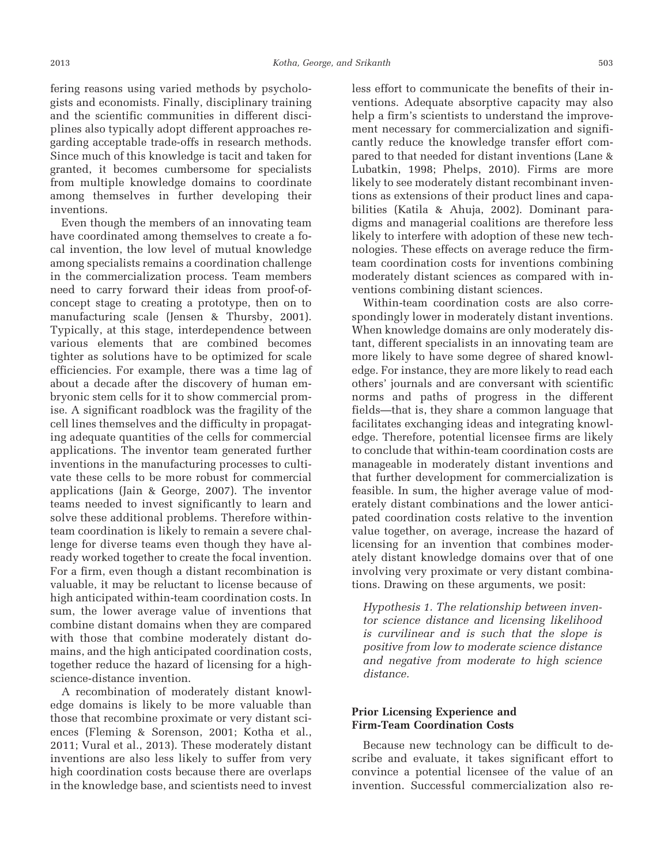fering reasons using varied methods by psychologists and economists. Finally, disciplinary training and the scientific communities in different disciplines also typically adopt different approaches regarding acceptable trade-offs in research methods. Since much of this knowledge is tacit and taken for granted, it becomes cumbersome for specialists from multiple knowledge domains to coordinate among themselves in further developing their inventions.

Even though the members of an innovating team have coordinated among themselves to create a focal invention, the low level of mutual knowledge among specialists remains a coordination challenge in the commercialization process. Team members need to carry forward their ideas from proof-ofconcept stage to creating a prototype, then on to manufacturing scale (Jensen & Thursby, 2001). Typically, at this stage, interdependence between various elements that are combined becomes tighter as solutions have to be optimized for scale efficiencies. For example, there was a time lag of about a decade after the discovery of human embryonic stem cells for it to show commercial promise. A significant roadblock was the fragility of the cell lines themselves and the difficulty in propagating adequate quantities of the cells for commercial applications. The inventor team generated further inventions in the manufacturing processes to cultivate these cells to be more robust for commercial applications (Jain & George, 2007). The inventor teams needed to invest significantly to learn and solve these additional problems. Therefore withinteam coordination is likely to remain a severe challenge for diverse teams even though they have already worked together to create the focal invention. For a firm, even though a distant recombination is valuable, it may be reluctant to license because of high anticipated within-team coordination costs. In sum, the lower average value of inventions that combine distant domains when they are compared with those that combine moderately distant domains, and the high anticipated coordination costs, together reduce the hazard of licensing for a highscience-distance invention.

A recombination of moderately distant knowledge domains is likely to be more valuable than those that recombine proximate or very distant sciences (Fleming & Sorenson, 2001; Kotha et al., 2011; Vural et al., 2013). These moderately distant inventions are also less likely to suffer from very high coordination costs because there are overlaps in the knowledge base, and scientists need to invest

less effort to communicate the benefits of their inventions. Adequate absorptive capacity may also help a firm's scientists to understand the improvement necessary for commercialization and significantly reduce the knowledge transfer effort compared to that needed for distant inventions (Lane & Lubatkin, 1998; Phelps, 2010). Firms are more likely to see moderately distant recombinant inventions as extensions of their product lines and capabilities (Katila & Ahuja, 2002). Dominant paradigms and managerial coalitions are therefore less likely to interfere with adoption of these new technologies. These effects on average reduce the firmteam coordination costs for inventions combining moderately distant sciences as compared with inventions combining distant sciences.

Within-team coordination costs are also correspondingly lower in moderately distant inventions. When knowledge domains are only moderately distant, different specialists in an innovating team are more likely to have some degree of shared knowledge. For instance, they are more likely to read each others' journals and are conversant with scientific norms and paths of progress in the different fields—that is, they share a common language that facilitates exchanging ideas and integrating knowledge. Therefore, potential licensee firms are likely to conclude that within-team coordination costs are manageable in moderately distant inventions and that further development for commercialization is feasible. In sum, the higher average value of moderately distant combinations and the lower anticipated coordination costs relative to the invention value together, on average, increase the hazard of licensing for an invention that combines moderately distant knowledge domains over that of one involving very proximate or very distant combinations. Drawing on these arguments, we posit:

*Hypothesis 1. The relationship between inventor science distance and licensing likelihood is curvilinear and is such that the slope is positive from low to moderate science distance and negative from moderate to high science distance.*

## **Prior Licensing Experience and Firm-Team Coordination Costs**

Because new technology can be difficult to describe and evaluate, it takes significant effort to convince a potential licensee of the value of an invention. Successful commercialization also re-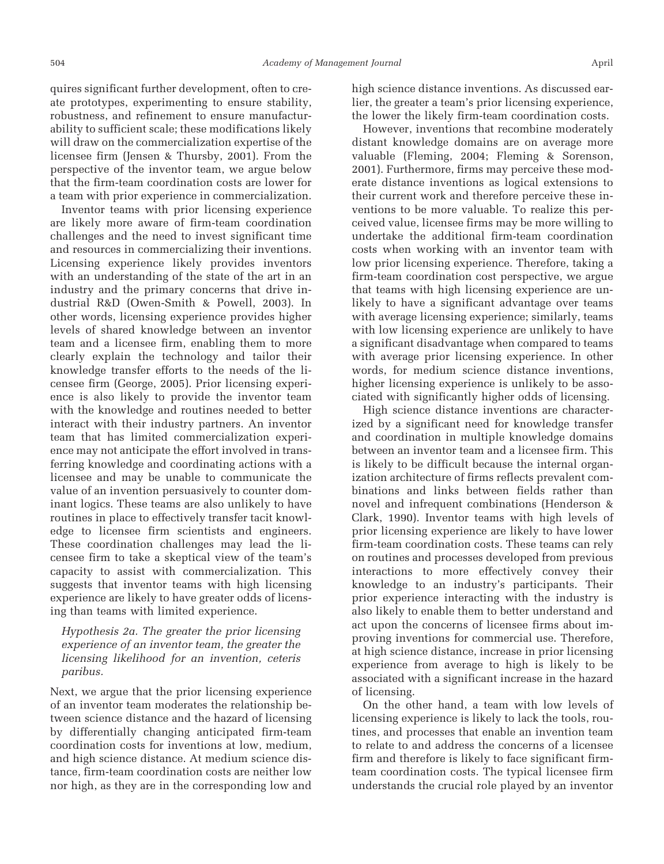quires significant further development, often to create prototypes, experimenting to ensure stability, robustness, and refinement to ensure manufacturability to sufficient scale; these modifications likely will draw on the commercialization expertise of the licensee firm (Jensen & Thursby, 2001). From the perspective of the inventor team, we argue below that the firm-team coordination costs are lower for a team with prior experience in commercialization.

Inventor teams with prior licensing experience are likely more aware of firm-team coordination challenges and the need to invest significant time and resources in commercializing their inventions. Licensing experience likely provides inventors with an understanding of the state of the art in an industry and the primary concerns that drive industrial R&D (Owen-Smith & Powell, 2003). In other words, licensing experience provides higher levels of shared knowledge between an inventor team and a licensee firm, enabling them to more clearly explain the technology and tailor their knowledge transfer efforts to the needs of the licensee firm (George, 2005). Prior licensing experience is also likely to provide the inventor team with the knowledge and routines needed to better interact with their industry partners. An inventor team that has limited commercialization experience may not anticipate the effort involved in transferring knowledge and coordinating actions with a licensee and may be unable to communicate the value of an invention persuasively to counter dominant logics. These teams are also unlikely to have routines in place to effectively transfer tacit knowledge to licensee firm scientists and engineers. These coordination challenges may lead the licensee firm to take a skeptical view of the team's capacity to assist with commercialization. This suggests that inventor teams with high licensing experience are likely to have greater odds of licensing than teams with limited experience.

*Hypothesis 2a. The greater the prior licensing experience of an inventor team, the greater the licensing likelihood for an invention, ceteris paribus.*

Next, we argue that the prior licensing experience of an inventor team moderates the relationship between science distance and the hazard of licensing by differentially changing anticipated firm-team coordination costs for inventions at low, medium, and high science distance. At medium science distance, firm-team coordination costs are neither low nor high, as they are in the corresponding low and

high science distance inventions. As discussed earlier, the greater a team's prior licensing experience, the lower the likely firm-team coordination costs.

However, inventions that recombine moderately distant knowledge domains are on average more valuable (Fleming, 2004; Fleming & Sorenson, 2001). Furthermore, firms may perceive these moderate distance inventions as logical extensions to their current work and therefore perceive these inventions to be more valuable. To realize this perceived value, licensee firms may be more willing to undertake the additional firm-team coordination costs when working with an inventor team with low prior licensing experience. Therefore, taking a firm-team coordination cost perspective, we argue that teams with high licensing experience are unlikely to have a significant advantage over teams with average licensing experience; similarly, teams with low licensing experience are unlikely to have a significant disadvantage when compared to teams with average prior licensing experience. In other words, for medium science distance inventions, higher licensing experience is unlikely to be associated with significantly higher odds of licensing.

High science distance inventions are characterized by a significant need for knowledge transfer and coordination in multiple knowledge domains between an inventor team and a licensee firm. This is likely to be difficult because the internal organization architecture of firms reflects prevalent combinations and links between fields rather than novel and infrequent combinations (Henderson & Clark, 1990). Inventor teams with high levels of prior licensing experience are likely to have lower firm-team coordination costs. These teams can rely on routines and processes developed from previous interactions to more effectively convey their knowledge to an industry's participants. Their prior experience interacting with the industry is also likely to enable them to better understand and act upon the concerns of licensee firms about improving inventions for commercial use. Therefore, at high science distance, increase in prior licensing experience from average to high is likely to be associated with a significant increase in the hazard of licensing.

On the other hand, a team with low levels of licensing experience is likely to lack the tools, routines, and processes that enable an invention team to relate to and address the concerns of a licensee firm and therefore is likely to face significant firmteam coordination costs. The typical licensee firm understands the crucial role played by an inventor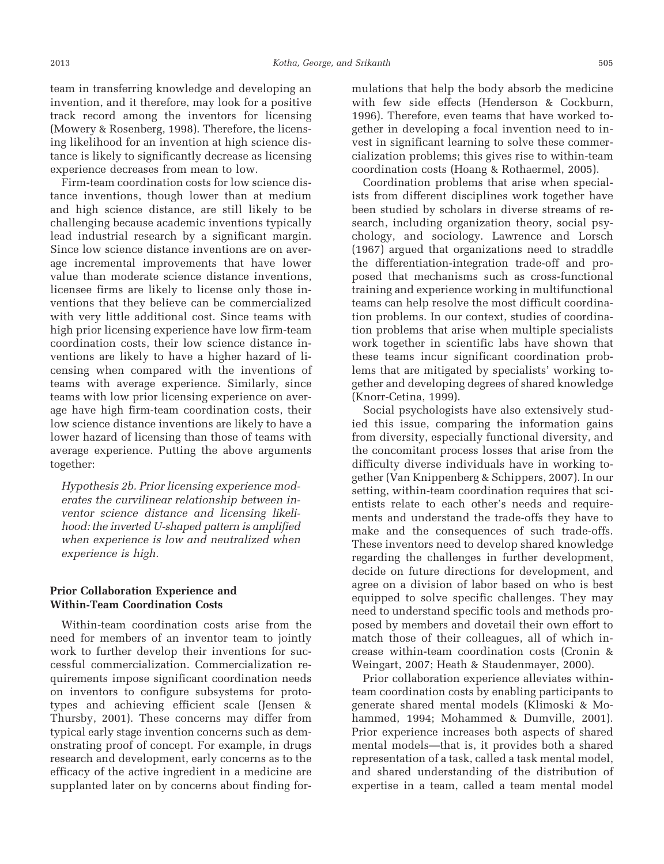team in transferring knowledge and developing an invention, and it therefore, may look for a positive track record among the inventors for licensing (Mowery & Rosenberg, 1998). Therefore, the licensing likelihood for an invention at high science distance is likely to significantly decrease as licensing experience decreases from mean to low.

Firm-team coordination costs for low science distance inventions, though lower than at medium and high science distance, are still likely to be challenging because academic inventions typically lead industrial research by a significant margin. Since low science distance inventions are on average incremental improvements that have lower value than moderate science distance inventions, licensee firms are likely to license only those inventions that they believe can be commercialized with very little additional cost. Since teams with high prior licensing experience have low firm-team coordination costs, their low science distance inventions are likely to have a higher hazard of licensing when compared with the inventions of teams with average experience. Similarly, since teams with low prior licensing experience on average have high firm-team coordination costs, their low science distance inventions are likely to have a lower hazard of licensing than those of teams with average experience. Putting the above arguments together:

*Hypothesis 2b. Prior licensing experience moderates the curvilinear relationship between inventor science distance and licensing likelihood: the inverted U-shaped pattern is amplified when experience is low and neutralized when experience is high.*

# **Prior Collaboration Experience and Within-Team Coordination Costs**

Within-team coordination costs arise from the need for members of an inventor team to jointly work to further develop their inventions for successful commercialization. Commercialization requirements impose significant coordination needs on inventors to configure subsystems for prototypes and achieving efficient scale (Jensen & Thursby, 2001). These concerns may differ from typical early stage invention concerns such as demonstrating proof of concept. For example, in drugs research and development, early concerns as to the efficacy of the active ingredient in a medicine are supplanted later on by concerns about finding formulations that help the body absorb the medicine with few side effects (Henderson & Cockburn, 1996). Therefore, even teams that have worked together in developing a focal invention need to invest in significant learning to solve these commercialization problems; this gives rise to within-team coordination costs (Hoang & Rothaermel, 2005).

Coordination problems that arise when specialists from different disciplines work together have been studied by scholars in diverse streams of research, including organization theory, social psychology, and sociology. Lawrence and Lorsch (1967) argued that organizations need to straddle the differentiation-integration trade-off and proposed that mechanisms such as cross-functional training and experience working in multifunctional teams can help resolve the most difficult coordination problems. In our context, studies of coordination problems that arise when multiple specialists work together in scientific labs have shown that these teams incur significant coordination problems that are mitigated by specialists' working together and developing degrees of shared knowledge (Knorr-Cetina, 1999).

Social psychologists have also extensively studied this issue, comparing the information gains from diversity, especially functional diversity, and the concomitant process losses that arise from the difficulty diverse individuals have in working together (Van Knippenberg & Schippers, 2007). In our setting, within-team coordination requires that scientists relate to each other's needs and requirements and understand the trade-offs they have to make and the consequences of such trade-offs. These inventors need to develop shared knowledge regarding the challenges in further development, decide on future directions for development, and agree on a division of labor based on who is best equipped to solve specific challenges. They may need to understand specific tools and methods proposed by members and dovetail their own effort to match those of their colleagues, all of which increase within-team coordination costs (Cronin & Weingart, 2007; Heath & Staudenmayer, 2000).

Prior collaboration experience alleviates withinteam coordination costs by enabling participants to generate shared mental models (Klimoski & Mohammed, 1994; Mohammed & Dumville, 2001). Prior experience increases both aspects of shared mental models—that is, it provides both a shared representation of a task, called a task mental model, and shared understanding of the distribution of expertise in a team, called a team mental model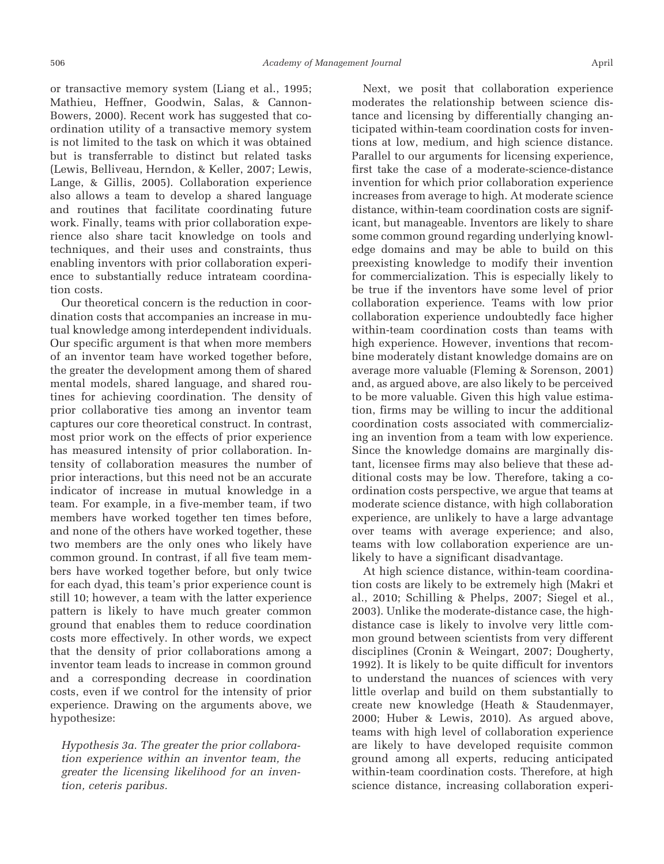or transactive memory system (Liang et al., 1995; Mathieu, Heffner, Goodwin, Salas, & Cannon-Bowers, 2000). Recent work has suggested that coordination utility of a transactive memory system is not limited to the task on which it was obtained but is transferrable to distinct but related tasks (Lewis, Belliveau, Herndon, & Keller, 2007; Lewis, Lange, & Gillis, 2005). Collaboration experience also allows a team to develop a shared language and routines that facilitate coordinating future work. Finally, teams with prior collaboration experience also share tacit knowledge on tools and techniques, and their uses and constraints, thus enabling inventors with prior collaboration experience to substantially reduce intrateam coordination costs.

Our theoretical concern is the reduction in coordination costs that accompanies an increase in mutual knowledge among interdependent individuals. Our specific argument is that when more members of an inventor team have worked together before, the greater the development among them of shared mental models, shared language, and shared routines for achieving coordination. The density of prior collaborative ties among an inventor team captures our core theoretical construct. In contrast, most prior work on the effects of prior experience has measured intensity of prior collaboration. Intensity of collaboration measures the number of prior interactions, but this need not be an accurate indicator of increase in mutual knowledge in a team. For example, in a five-member team, if two members have worked together ten times before, and none of the others have worked together, these two members are the only ones who likely have common ground. In contrast, if all five team members have worked together before, but only twice for each dyad, this team's prior experience count is still 10; however, a team with the latter experience pattern is likely to have much greater common ground that enables them to reduce coordination costs more effectively. In other words, we expect that the density of prior collaborations among a inventor team leads to increase in common ground and a corresponding decrease in coordination costs, even if we control for the intensity of prior experience. Drawing on the arguments above, we hypothesize:

*Hypothesis 3a. The greater the prior collaboration experience within an inventor team, the greater the licensing likelihood for an invention, ceteris paribus.*

Next, we posit that collaboration experience moderates the relationship between science distance and licensing by differentially changing anticipated within-team coordination costs for inventions at low, medium, and high science distance. Parallel to our arguments for licensing experience, first take the case of a moderate-science-distance invention for which prior collaboration experience increases from average to high. At moderate science distance, within-team coordination costs are significant, but manageable. Inventors are likely to share some common ground regarding underlying knowledge domains and may be able to build on this preexisting knowledge to modify their invention for commercialization. This is especially likely to be true if the inventors have some level of prior collaboration experience. Teams with low prior collaboration experience undoubtedly face higher within-team coordination costs than teams with high experience. However, inventions that recombine moderately distant knowledge domains are on average more valuable (Fleming & Sorenson, 2001) and, as argued above, are also likely to be perceived to be more valuable. Given this high value estimation, firms may be willing to incur the additional coordination costs associated with commercializing an invention from a team with low experience. Since the knowledge domains are marginally distant, licensee firms may also believe that these additional costs may be low. Therefore, taking a coordination costs perspective, we argue that teams at moderate science distance, with high collaboration experience, are unlikely to have a large advantage over teams with average experience; and also, teams with low collaboration experience are unlikely to have a significant disadvantage.

At high science distance, within-team coordination costs are likely to be extremely high (Makri et al., 2010; Schilling & Phelps, 2007; Siegel et al., 2003). Unlike the moderate-distance case, the highdistance case is likely to involve very little common ground between scientists from very different disciplines (Cronin & Weingart, 2007; Dougherty, 1992). It is likely to be quite difficult for inventors to understand the nuances of sciences with very little overlap and build on them substantially to create new knowledge (Heath & Staudenmayer, 2000; Huber & Lewis, 2010). As argued above, teams with high level of collaboration experience are likely to have developed requisite common ground among all experts, reducing anticipated within-team coordination costs. Therefore, at high science distance, increasing collaboration experi-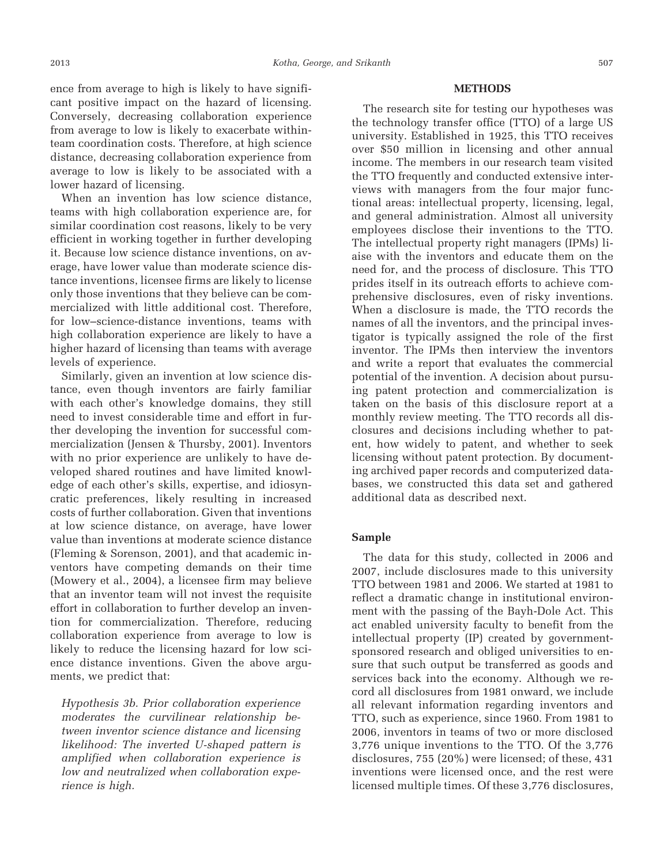ence from average to high is likely to have significant positive impact on the hazard of licensing. Conversely, decreasing collaboration experience from average to low is likely to exacerbate withinteam coordination costs. Therefore, at high science distance, decreasing collaboration experience from average to low is likely to be associated with a lower hazard of licensing.

When an invention has low science distance, teams with high collaboration experience are, for similar coordination cost reasons, likely to be very efficient in working together in further developing it. Because low science distance inventions, on average, have lower value than moderate science distance inventions, licensee firms are likely to license only those inventions that they believe can be commercialized with little additional cost. Therefore, for low–science-distance inventions, teams with high collaboration experience are likely to have a higher hazard of licensing than teams with average levels of experience.

Similarly, given an invention at low science distance, even though inventors are fairly familiar with each other's knowledge domains, they still need to invest considerable time and effort in further developing the invention for successful commercialization (Jensen & Thursby, 2001). Inventors with no prior experience are unlikely to have developed shared routines and have limited knowledge of each other's skills, expertise, and idiosyncratic preferences, likely resulting in increased costs of further collaboration. Given that inventions at low science distance, on average, have lower value than inventions at moderate science distance (Fleming & Sorenson, 2001), and that academic inventors have competing demands on their time (Mowery et al., 2004), a licensee firm may believe that an inventor team will not invest the requisite effort in collaboration to further develop an invention for commercialization. Therefore, reducing collaboration experience from average to low is likely to reduce the licensing hazard for low science distance inventions. Given the above arguments, we predict that:

*Hypothesis 3b. Prior collaboration experience moderates the curvilinear relationship between inventor science distance and licensing likelihood: The inverted U-shaped pattern is amplified when collaboration experience is low and neutralized when collaboration experience is high.*

## **METHODS**

The research site for testing our hypotheses was the technology transfer office (TTO) of a large US university. Established in 1925, this TTO receives over \$50 million in licensing and other annual income. The members in our research team visited the TTO frequently and conducted extensive interviews with managers from the four major functional areas: intellectual property, licensing, legal, and general administration. Almost all university employees disclose their inventions to the TTO. The intellectual property right managers (IPMs) liaise with the inventors and educate them on the need for, and the process of disclosure. This TTO prides itself in its outreach efforts to achieve comprehensive disclosures, even of risky inventions. When a disclosure is made, the TTO records the names of all the inventors, and the principal investigator is typically assigned the role of the first inventor. The IPMs then interview the inventors and write a report that evaluates the commercial potential of the invention. A decision about pursuing patent protection and commercialization is taken on the basis of this disclosure report at a monthly review meeting. The TTO records all disclosures and decisions including whether to patent, how widely to patent, and whether to seek licensing without patent protection. By documenting archived paper records and computerized databases, we constructed this data set and gathered additional data as described next.

## **Sample**

The data for this study, collected in 2006 and 2007, include disclosures made to this university TTO between 1981 and 2006. We started at 1981 to reflect a dramatic change in institutional environment with the passing of the Bayh-Dole Act. This act enabled university faculty to benefit from the intellectual property (IP) created by governmentsponsored research and obliged universities to ensure that such output be transferred as goods and services back into the economy. Although we record all disclosures from 1981 onward, we include all relevant information regarding inventors and TTO, such as experience, since 1960. From 1981 to 2006, inventors in teams of two or more disclosed 3,776 unique inventions to the TTO. Of the 3,776 disclosures, 755 (20%) were licensed; of these, 431 inventions were licensed once, and the rest were licensed multiple times. Of these 3,776 disclosures,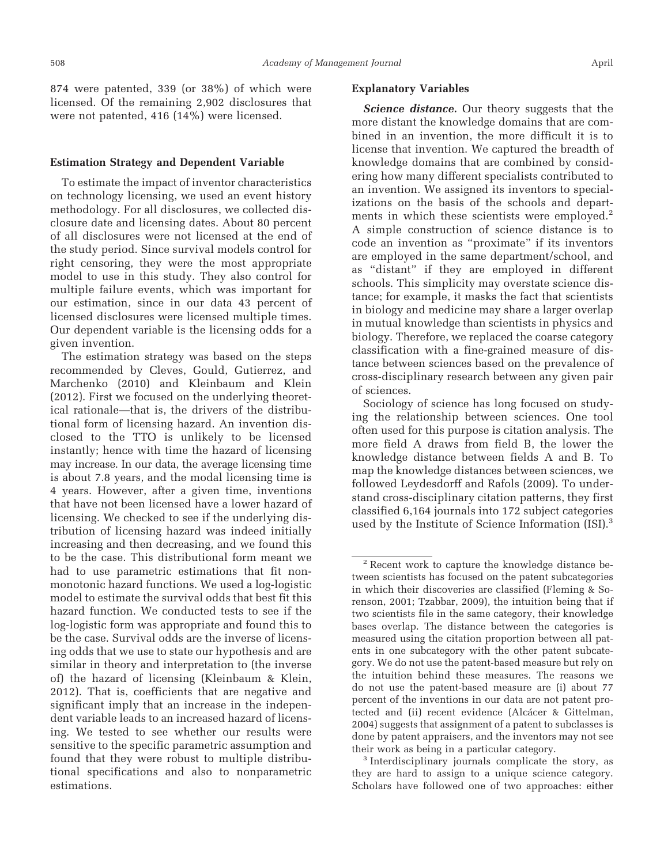874 were patented, 339 (or 38%) of which were licensed. Of the remaining 2,902 disclosures that were not patented, 416 (14%) were licensed.

#### **Estimation Strategy and Dependent Variable**

To estimate the impact of inventor characteristics on technology licensing, we used an event history methodology. For all disclosures, we collected disclosure date and licensing dates. About 80 percent of all disclosures were not licensed at the end of the study period. Since survival models control for right censoring, they were the most appropriate model to use in this study. They also control for multiple failure events, which was important for our estimation, since in our data 43 percent of licensed disclosures were licensed multiple times. Our dependent variable is the licensing odds for a given invention.

The estimation strategy was based on the steps recommended by Cleves, Gould, Gutierrez, and Marchenko (2010) and Kleinbaum and Klein (2012). First we focused on the underlying theoretical rationale—that is, the drivers of the distributional form of licensing hazard. An invention disclosed to the TTO is unlikely to be licensed instantly; hence with time the hazard of licensing may increase. In our data, the average licensing time is about 7.8 years, and the modal licensing time is 4 years. However, after a given time, inventions that have not been licensed have a lower hazard of licensing. We checked to see if the underlying distribution of licensing hazard was indeed initially increasing and then decreasing, and we found this to be the case. This distributional form meant we had to use parametric estimations that fit nonmonotonic hazard functions. We used a log-logistic model to estimate the survival odds that best fit this hazard function. We conducted tests to see if the log-logistic form was appropriate and found this to be the case. Survival odds are the inverse of licensing odds that we use to state our hypothesis and are similar in theory and interpretation to (the inverse of) the hazard of licensing (Kleinbaum & Klein, 2012). That is, coefficients that are negative and significant imply that an increase in the independent variable leads to an increased hazard of licensing. We tested to see whether our results were sensitive to the specific parametric assumption and found that they were robust to multiple distributional specifications and also to nonparametric estimations.

## **Explanatory Variables**

*Science distance.* Our theory suggests that the more distant the knowledge domains that are combined in an invention, the more difficult it is to license that invention. We captured the breadth of knowledge domains that are combined by considering how many different specialists contributed to an invention. We assigned its inventors to specializations on the basis of the schools and departments in which these scientists were employed.<sup>2</sup> A simple construction of science distance is to code an invention as "proximate" if its inventors are employed in the same department/school, and as "distant" if they are employed in different schools. This simplicity may overstate science distance; for example, it masks the fact that scientists in biology and medicine may share a larger overlap in mutual knowledge than scientists in physics and biology. Therefore, we replaced the coarse category classification with a fine-grained measure of distance between sciences based on the prevalence of cross-disciplinary research between any given pair of sciences.

Sociology of science has long focused on studying the relationship between sciences. One tool often used for this purpose is citation analysis. The more field A draws from field B, the lower the knowledge distance between fields A and B. To map the knowledge distances between sciences, we followed Leydesdorff and Rafols (2009). To understand cross-disciplinary citation patterns, they first classified 6,164 journals into 172 subject categories used by the Institute of Science Information (ISI).<sup>3</sup>

their work as being in a particular category.<br><sup>3</sup> Interdisciplinary journals complicate the story, as they are hard to assign to a unique science category. Scholars have followed one of two approaches: either

<sup>2</sup> Recent work to capture the knowledge distance between scientists has focused on the patent subcategories in which their discoveries are classified (Fleming & Sorenson, 2001; Tzabbar, 2009), the intuition being that if two scientists file in the same category, their knowledge bases overlap. The distance between the categories is measured using the citation proportion between all patents in one subcategory with the other patent subcategory. We do not use the patent-based measure but rely on the intuition behind these measures. The reasons we do not use the patent-based measure are (i) about 77 percent of the inventions in our data are not patent protected and (ii) recent evidence (Alcácer & Gittelman, 2004) suggests that assignment of a patent to subclasses is done by patent appraisers, and the inventors may not see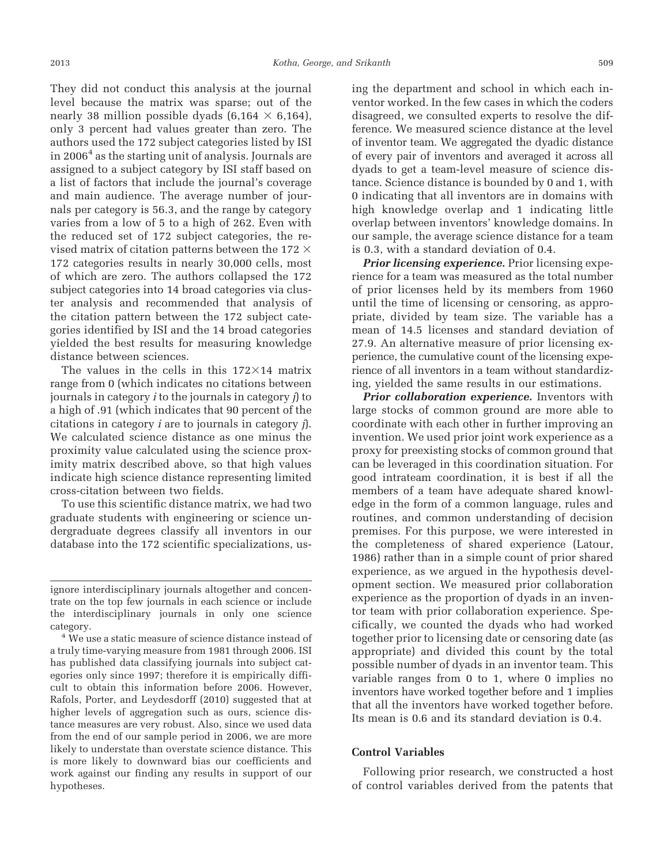They did not conduct this analysis at the journal level because the matrix was sparse; out of the nearly 38 million possible dyads  $(6,164 \times 6,164)$ , only 3 percent had values greater than zero. The authors used the 172 subject categories listed by ISI in  $2006<sup>4</sup>$  as the starting unit of analysis. Journals are assigned to a subject category by ISI staff based on a list of factors that include the journal's coverage and main audience. The average number of journals per category is 56.3, and the range by category varies from a low of 5 to a high of 262. Even with the reduced set of 172 subject categories, the revised matrix of citation patterns between the 172  $\times$ 172 categories results in nearly 30,000 cells, most of which are zero. The authors collapsed the 172 subject categories into 14 broad categories via cluster analysis and recommended that analysis of the citation pattern between the 172 subject categories identified by ISI and the 14 broad categories yielded the best results for measuring knowledge distance between sciences.

The values in the cells in this  $172\times14$  matrix range from 0 (which indicates no citations between journals in category *i* to the journals in category *j*) to a high of .91 (which indicates that 90 percent of the citations in category *i* are to journals in category *j*). We calculated science distance as one minus the proximity value calculated using the science proximity matrix described above, so that high values indicate high science distance representing limited cross-citation between two fields.

To use this scientific distance matrix, we had two graduate students with engineering or science undergraduate degrees classify all inventors in our database into the 172 scientific specializations, using the department and school in which each inventor worked. In the few cases in which the coders disagreed, we consulted experts to resolve the difference. We measured science distance at the level of inventor team. We aggregated the dyadic distance of every pair of inventors and averaged it across all dyads to get a team-level measure of science distance. Science distance is bounded by 0 and 1, with 0 indicating that all inventors are in domains with high knowledge overlap and 1 indicating little overlap between inventors' knowledge domains. In our sample, the average science distance for a team is 0.3, with a standard deviation of 0.4.

*Prior licensing experience.* Prior licensing experience for a team was measured as the total number of prior licenses held by its members from 1960 until the time of licensing or censoring, as appropriate, divided by team size. The variable has a mean of 14.5 licenses and standard deviation of 27.9. An alternative measure of prior licensing experience, the cumulative count of the licensing experience of all inventors in a team without standardizing, yielded the same results in our estimations.

*Prior collaboration experience.* Inventors with large stocks of common ground are more able to coordinate with each other in further improving an invention. We used prior joint work experience as a proxy for preexisting stocks of common ground that can be leveraged in this coordination situation. For good intrateam coordination, it is best if all the members of a team have adequate shared knowledge in the form of a common language, rules and routines, and common understanding of decision premises. For this purpose, we were interested in the completeness of shared experience (Latour, 1986) rather than in a simple count of prior shared experience, as we argued in the hypothesis development section. We measured prior collaboration experience as the proportion of dyads in an inventor team with prior collaboration experience. Specifically, we counted the dyads who had worked together prior to licensing date or censoring date (as appropriate) and divided this count by the total possible number of dyads in an inventor team. This variable ranges from 0 to 1, where 0 implies no inventors have worked together before and 1 implies that all the inventors have worked together before. Its mean is 0.6 and its standard deviation is 0.4.

## **Control Variables**

Following prior research, we constructed a host of control variables derived from the patents that

ignore interdisciplinary journals altogether and concentrate on the top few journals in each science or include the interdisciplinary journals in only one science

category. <sup>4</sup> We use a static measure of science distance instead of a truly time-varying measure from 1981 through 2006. ISI has published data classifying journals into subject categories only since 1997; therefore it is empirically difficult to obtain this information before 2006. However, Rafols, Porter, and Leydesdorff (2010) suggested that at higher levels of aggregation such as ours, science distance measures are very robust. Also, since we used data from the end of our sample period in 2006, we are more likely to understate than overstate science distance. This is more likely to downward bias our coefficients and work against our finding any results in support of our hypotheses.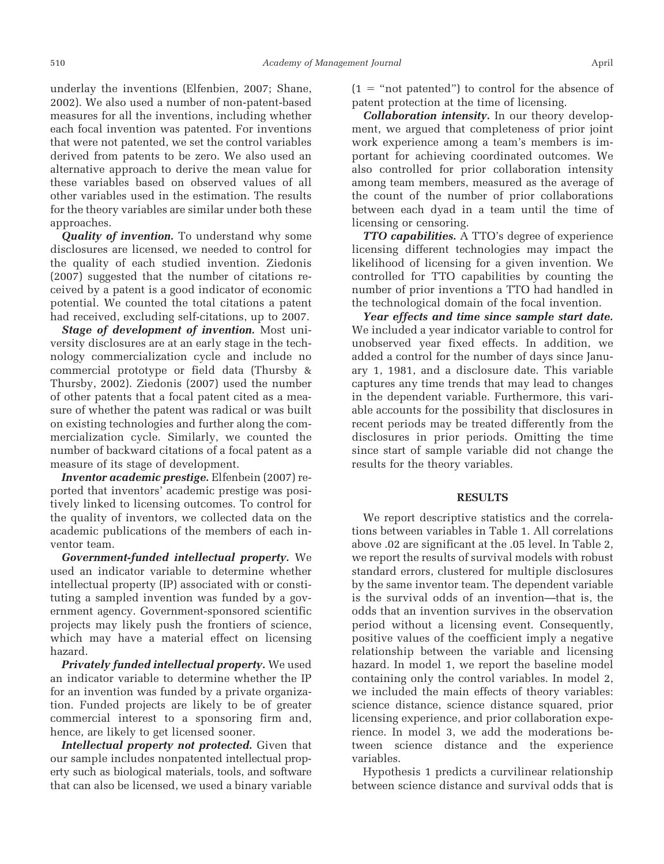underlay the inventions (Elfenbien, 2007; Shane, 2002). We also used a number of non-patent-based measures for all the inventions, including whether each focal invention was patented. For inventions that were not patented, we set the control variables derived from patents to be zero. We also used an alternative approach to derive the mean value for these variables based on observed values of all other variables used in the estimation. The results for the theory variables are similar under both these approaches.

*Quality of invention.* To understand why some disclosures are licensed, we needed to control for the quality of each studied invention. Ziedonis (2007) suggested that the number of citations received by a patent is a good indicator of economic potential. We counted the total citations a patent had received, excluding self-citations, up to 2007.

*Stage of development of invention.* Most university disclosures are at an early stage in the technology commercialization cycle and include no commercial prototype or field data (Thursby & Thursby, 2002). Ziedonis (2007) used the number of other patents that a focal patent cited as a measure of whether the patent was radical or was built on existing technologies and further along the commercialization cycle. Similarly, we counted the number of backward citations of a focal patent as a measure of its stage of development.

*Inventor academic prestige.* Elfenbein (2007) reported that inventors' academic prestige was positively linked to licensing outcomes. To control for the quality of inventors, we collected data on the academic publications of the members of each inventor team.

*Government-funded intellectual property.* We used an indicator variable to determine whether intellectual property (IP) associated with or constituting a sampled invention was funded by a government agency. Government-sponsored scientific projects may likely push the frontiers of science, which may have a material effect on licensing hazard.

*Privately funded intellectual property.* We used an indicator variable to determine whether the IP for an invention was funded by a private organization. Funded projects are likely to be of greater commercial interest to a sponsoring firm and, hence, are likely to get licensed sooner.

*Intellectual property not protected.* Given that our sample includes nonpatented intellectual property such as biological materials, tools, and software that can also be licensed, we used a binary variable  $(1 - "not$  patented") to control for the absence of patent protection at the time of licensing.

*Collaboration intensity.* In our theory development, we argued that completeness of prior joint work experience among a team's members is important for achieving coordinated outcomes. We also controlled for prior collaboration intensity among team members, measured as the average of the count of the number of prior collaborations between each dyad in a team until the time of licensing or censoring.

*TTO capabilities.* A TTO's degree of experience licensing different technologies may impact the likelihood of licensing for a given invention. We controlled for TTO capabilities by counting the number of prior inventions a TTO had handled in the technological domain of the focal invention.

*Year effects and time since sample start date.* We included a year indicator variable to control for unobserved year fixed effects. In addition, we added a control for the number of days since January 1, 1981, and a disclosure date. This variable captures any time trends that may lead to changes in the dependent variable. Furthermore, this variable accounts for the possibility that disclosures in recent periods may be treated differently from the disclosures in prior periods. Omitting the time since start of sample variable did not change the results for the theory variables.

#### **RESULTS**

We report descriptive statistics and the correlations between variables in Table 1. All correlations above .02 are significant at the .05 level. In Table 2, we report the results of survival models with robust standard errors, clustered for multiple disclosures by the same inventor team. The dependent variable is the survival odds of an invention—that is, the odds that an invention survives in the observation period without a licensing event. Consequently, positive values of the coefficient imply a negative relationship between the variable and licensing hazard. In model 1, we report the baseline model containing only the control variables. In model 2, we included the main effects of theory variables: science distance, science distance squared, prior licensing experience, and prior collaboration experience. In model 3, we add the moderations between science distance and the experience variables.

Hypothesis 1 predicts a curvilinear relationship between science distance and survival odds that is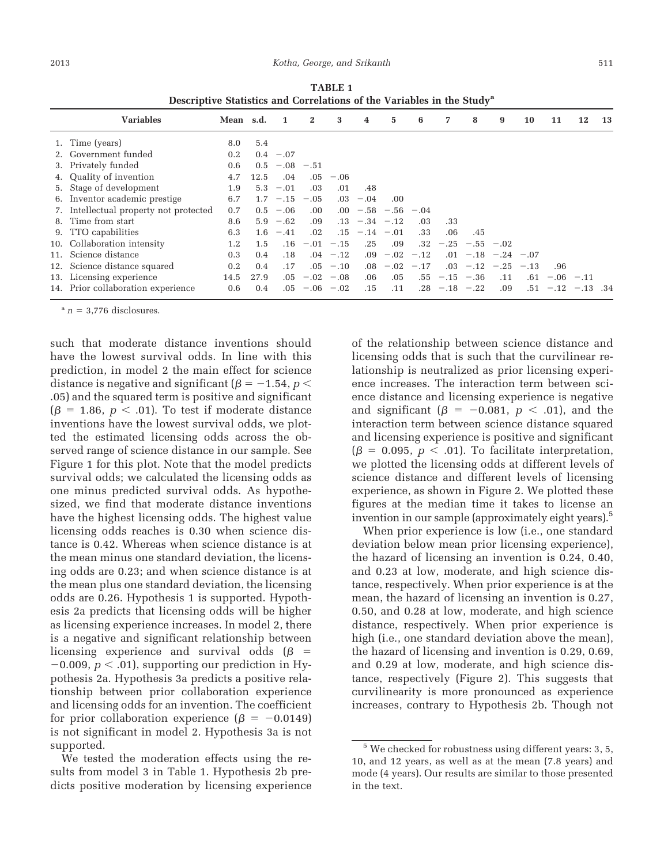| <b>Variables</b>                       | Mean s.d. |      |               | $\mathbf{2}$      | 3           | 4            | 5            | 6      | 7                 | 8                    | 9                  | 10     | 11     | 12                  | 13 |
|----------------------------------------|-----------|------|---------------|-------------------|-------------|--------------|--------------|--------|-------------------|----------------------|--------------------|--------|--------|---------------------|----|
| 1. Time (years)                        | 8.0       | 5.4  |               |                   |             |              |              |        |                   |                      |                    |        |        |                     |    |
| 2. Government funded                   | 0.2       | 0.4  | $-.07$        |                   |             |              |              |        |                   |                      |                    |        |        |                     |    |
| 3. Privately funded                    | 0.6       | 0.5  | $-.08$ $-.51$ |                   |             |              |              |        |                   |                      |                    |        |        |                     |    |
| 4. Quality of invention                | 4.7       | 12.5 | .04           | .05               | $-.06$      |              |              |        |                   |                      |                    |        |        |                     |    |
| 5. Stage of development                | 1.9       | 5.3  | $-.01$        | .03               | .01         | .48          |              |        |                   |                      |                    |        |        |                     |    |
| 6. Inventor academic prestige          | 6.7       | 1.7  | $-.15$        | $-.05$            | .03         | $-.04$       | .00.         |        |                   |                      |                    |        |        |                     |    |
| 7. Intellectual property not protected | 0.7       | 0.5  | $-.06$        | .00.              | .00.        |              | $-.58 - .56$ | $-.04$ |                   |                      |                    |        |        |                     |    |
| 8. Time from start                     | 8.6       | 5.9  | $-.62$        | .09               | $.13 -$     | $-.34 - .12$ |              | .03    | .33               |                      |                    |        |        |                     |    |
| 9. TTO capabilities                    | 6.3       | 1.6  | $-.41$        | $.02\,$           | .15         | $-.14$       | $-.01$       | .33    | .06               | .45                  |                    |        |        |                     |    |
| 10. Collaboration intensity            | 1.2       | 1.5  | .16           | $-.01$            | $-.15$      | .25          | .09          | .32    |                   | $-.25$ $-.55$ $-.02$ |                    |        |        |                     |    |
| 11. Science distance                   | 0.3       | 0.4  | .18           |                   | $.04 - .12$ | .09          | $-.02$       | $-.12$ | .01               |                      | $-.18 - .24 - .07$ |        |        |                     |    |
| 12. Science distance squared           | 0.2       | 0.4  | .17           | .05               | $-.10$      | .08          | $-.02$       | $-.17$ | .03               | $-.12$               | $-.25$             | $-.13$ | .96    |                     |    |
| 13. Licensing experience               | 14.5      | 27.9 | .05           | $-.02$            | $-.08$      | .06          | .05          | .55    | $-.15$            | $-.36$               | .11                | .61    | $-.06$ | $-.11$              |    |
| 14. Prior collaboration experience     | 0.6       | 0.4  |               | $.05 - .06 - .02$ |             | .15          | .11          |        | $.28 - .18 - .22$ |                      | .09                | .51    |        | $-.12$ $-.13$ $.34$ |    |

**TABLE 1 Descriptive Statistics and Correlations of the Variables in the Studya**

 $n = 3,776$  disclosures.

such that moderate distance inventions should have the lowest survival odds. In line with this prediction, in model 2 the main effect for science distance is negative and significant ( $\beta$  =  $-$ 1.54,  $p$   $<$ .05) and the squared term is positive and significant ( $\beta$  = 1.86,  $p < .01$ ). To test if moderate distance inventions have the lowest survival odds, we plotted the estimated licensing odds across the observed range of science distance in our sample. See Figure 1 for this plot. Note that the model predicts survival odds; we calculated the licensing odds as one minus predicted survival odds. As hypothesized, we find that moderate distance inventions have the highest licensing odds. The highest value licensing odds reaches is 0.30 when science distance is 0.42. Whereas when science distance is at the mean minus one standard deviation, the licensing odds are 0.23; and when science distance is at the mean plus one standard deviation, the licensing odds are 0.26. Hypothesis 1 is supported. Hypothesis 2a predicts that licensing odds will be higher as licensing experience increases. In model 2, there is a negative and significant relationship between licensing experience and survival odds ( $\beta$  =  $-0.009$ ,  $p < .01$ ), supporting our prediction in Hypothesis 2a. Hypothesis 3a predicts a positive relationship between prior collaboration experience and licensing odds for an invention. The coefficient for prior collaboration experience  $(\beta = -0.0149)$ is not significant in model 2. Hypothesis 3a is not supported.

We tested the moderation effects using the results from model 3 in Table 1. Hypothesis 2b predicts positive moderation by licensing experience of the relationship between science distance and licensing odds that is such that the curvilinear relationship is neutralized as prior licensing experience increases. The interaction term between science distance and licensing experience is negative and significant ( $\beta$  = -0.081,  $p$  < .01), and the interaction term between science distance squared and licensing experience is positive and significant  $(\beta = 0.095, p < .01)$ . To facilitate interpretation, we plotted the licensing odds at different levels of science distance and different levels of licensing experience, as shown in Figure 2. We plotted these figures at the median time it takes to license an invention in our sample (approximately eight years).<sup>5</sup>

When prior experience is low (i.e., one standard deviation below mean prior licensing experience), the hazard of licensing an invention is 0.24, 0.40, and 0.23 at low, moderate, and high science distance, respectively. When prior experience is at the mean, the hazard of licensing an invention is 0.27, 0.50, and 0.28 at low, moderate, and high science distance, respectively. When prior experience is high (i.e., one standard deviation above the mean), the hazard of licensing and invention is 0.29, 0.69, and 0.29 at low, moderate, and high science distance, respectively (Figure 2). This suggests that curvilinearity is more pronounced as experience increases, contrary to Hypothesis 2b. Though not

<sup>5</sup> We checked for robustness using different years: 3, 5, 10, and 12 years, as well as at the mean (7.8 years) and mode (4 years). Our results are similar to those presented in the text.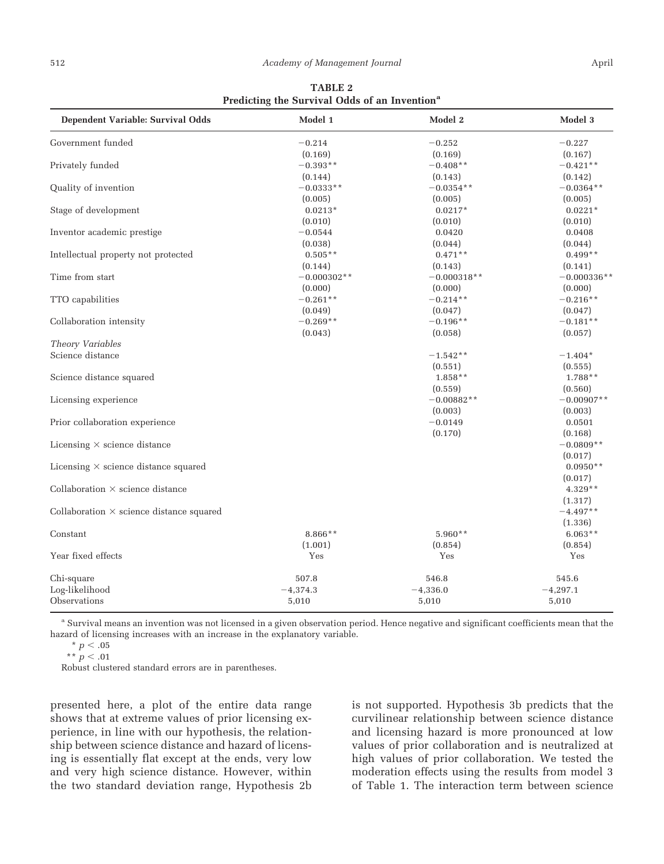|                                                 | $\mathbf{u}$ $\mathbf{v}$ |               |               |
|-------------------------------------------------|---------------------------|---------------|---------------|
| Dependent Variable: Survival Odds               | Model 1                   | Model 2       | Model 3       |
| Government funded                               | $-0.214$                  | $-0.252$      | $-0.227$      |
|                                                 | (0.169)                   | (0.169)       | (0.167)       |
| Privately funded                                | $-0.393**$                | $-0.408**$    | $-0.421**$    |
|                                                 | (0.144)                   | (0.143)       | (0.142)       |
| Quality of invention                            | $-0.0333**$               | $-0.0354**$   | $-0.0364**$   |
|                                                 | (0.005)                   | (0.005)       | (0.005)       |
| Stage of development                            | $0.0213*$                 | $0.0217*$     | $0.0221*$     |
|                                                 | (0.010)                   | (0.010)       | (0.010)       |
| Inventor academic prestige                      | $-0.0544$                 | 0.0420        | 0.0408        |
|                                                 | (0.038)                   | (0.044)       | (0.044)       |
| Intellectual property not protected             | $0.505**$                 | $0.471**$     | $0.499**$     |
|                                                 | (0.144)                   | (0.143)       | (0.141)       |
| Time from start                                 | $-0.000302**$             | $-0.000318**$ | $-0.000336**$ |
|                                                 | (0.000)                   | (0.000)       | (0.000)       |
| TTO capabilities                                | $-0.261**$                | $-0.214**$    | $-0.216**$    |
|                                                 | (0.049)                   | (0.047)       | (0.047)       |
| Collaboration intensity                         | $-0.269**$                | $-0.196**$    | $-0.181**$    |
|                                                 | (0.043)                   | (0.058)       | (0.057)       |
| Theory Variables                                |                           |               |               |
| Science distance                                |                           | $-1.542**$    | $-1.404*$     |
|                                                 |                           | (0.551)       | (0.555)       |
| Science distance squared                        |                           | $1.858**$     | $1.788**$     |
|                                                 |                           | (0.559)       | (0.560)       |
| Licensing experience                            |                           | $-0.00882**$  | $-0.00907**$  |
|                                                 |                           | (0.003)       | (0.003)       |
| Prior collaboration experience                  |                           | $-0.0149$     | 0.0501        |
|                                                 |                           | (0.170)       | (0.168)       |
| Licensing $\times$ science distance             |                           |               | $-0.0809**$   |
|                                                 |                           |               | (0.017)       |
| Licensing $\times$ science distance squared     |                           |               | $0.0950**$    |
|                                                 |                           |               | (0.017)       |
| Collaboration $\times$ science distance         |                           |               | $4.329**$     |
|                                                 |                           |               | (1.317)       |
| Collaboration $\times$ science distance squared |                           |               | $-4.497**$    |
|                                                 |                           |               | (1.336)       |
| Constant                                        | $8.866**$                 | $5.960**$     | $6.063**$     |
|                                                 | (1.001)                   | (0.854)       | (0.854)       |
| Year fixed effects                              | Yes                       | Yes           | Yes           |
|                                                 |                           |               |               |
| Chi-square                                      | 507.8                     | 546.8         | 545.6         |
| Log-likelihood                                  | $-4,374.3$                | $-4,336.0$    | $-4,297.1$    |
| Observations                                    | 5,010                     | 5,010         | 5,010         |
|                                                 |                           |               |               |

**TABLE 2 Predicting the Survival Odds of an Inventiona**

<sup>a</sup> Survival means an invention was not licensed in a given observation period. Hence negative and significant coefficients mean that the hazard of licensing increases with an increase in the explanatory variable.

 $*$   $p < .05$ 

 $** p < .01$ 

Robust clustered standard errors are in parentheses.

presented here, a plot of the entire data range shows that at extreme values of prior licensing experience, in line with our hypothesis, the relationship between science distance and hazard of licensing is essentially flat except at the ends, very low and very high science distance. However, within the two standard deviation range, Hypothesis 2b is not supported. Hypothesis 3b predicts that the curvilinear relationship between science distance and licensing hazard is more pronounced at low values of prior collaboration and is neutralized at high values of prior collaboration. We tested the moderation effects using the results from model 3 of Table 1. The interaction term between science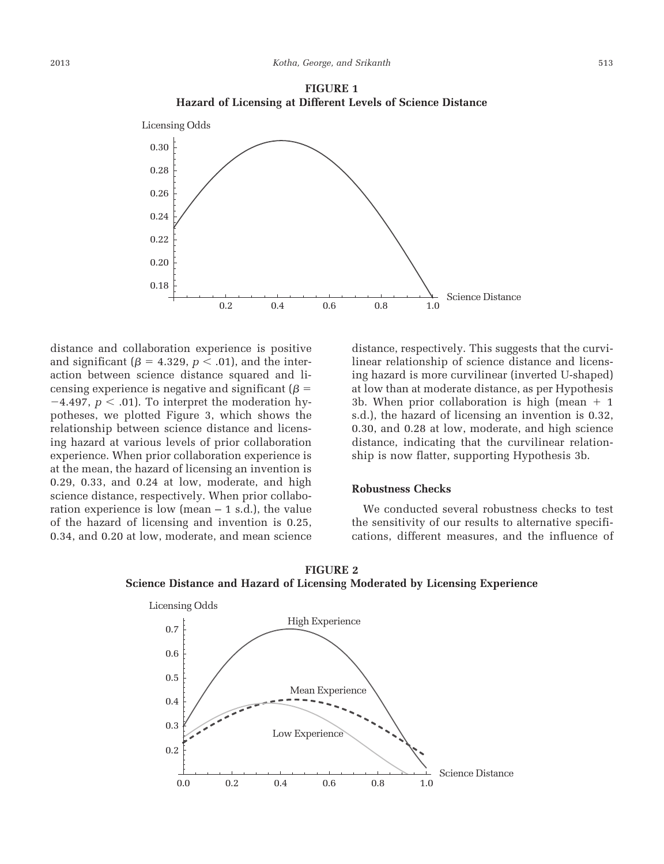**FIGURE 1 Hazard of Licensing at Different Levels of Science Distance**



distance and collaboration experience is positive and significant ( $\beta$  = 4.329,  $p$  < .01), and the interaction between science distance squared and licensing experience is negative and significant ( $\beta =$  $-4.497, p < .01$ ). To interpret the moderation hypotheses, we plotted Figure 3, which shows the relationship between science distance and licensing hazard at various levels of prior collaboration experience. When prior collaboration experience is at the mean, the hazard of licensing an invention is 0.29, 0.33, and 0.24 at low, moderate, and high science distance, respectively. When prior collaboration experience is low (mean  $-1$  s.d.), the value of the hazard of licensing and invention is 0.25, 0.34, and 0.20 at low, moderate, and mean science

distance, respectively. This suggests that the curvilinear relationship of science distance and licensing hazard is more curvilinear (inverted U-shaped) at low than at moderate distance, as per Hypothesis 3b. When prior collaboration is high (mean  $+1$ s.d.), the hazard of licensing an invention is 0.32, 0.30, and 0.28 at low, moderate, and high science distance, indicating that the curvilinear relationship is now flatter, supporting Hypothesis 3b.

## **Robustness Checks**

We conducted several robustness checks to test the sensitivity of our results to alternative specifications, different measures, and the influence of



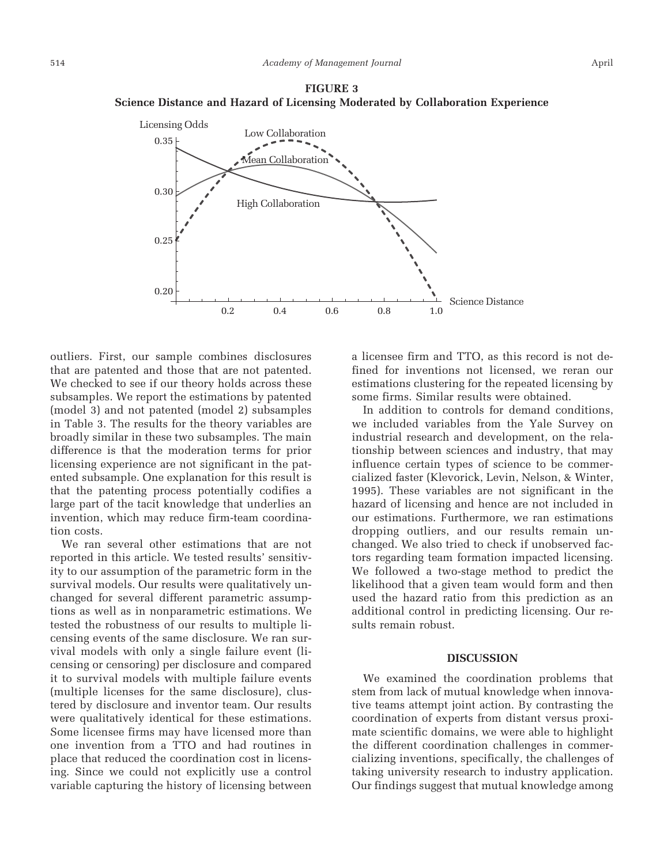



outliers. First, our sample combines disclosures that are patented and those that are not patented. We checked to see if our theory holds across these subsamples. We report the estimations by patented (model 3) and not patented (model 2) subsamples in Table 3. The results for the theory variables are broadly similar in these two subsamples. The main difference is that the moderation terms for prior licensing experience are not significant in the patented subsample. One explanation for this result is that the patenting process potentially codifies a large part of the tacit knowledge that underlies an invention, which may reduce firm-team coordination costs.

We ran several other estimations that are not reported in this article. We tested results' sensitivity to our assumption of the parametric form in the survival models. Our results were qualitatively unchanged for several different parametric assumptions as well as in nonparametric estimations. We tested the robustness of our results to multiple licensing events of the same disclosure. We ran survival models with only a single failure event (licensing or censoring) per disclosure and compared it to survival models with multiple failure events (multiple licenses for the same disclosure), clustered by disclosure and inventor team. Our results were qualitatively identical for these estimations. Some licensee firms may have licensed more than one invention from a TTO and had routines in place that reduced the coordination cost in licensing. Since we could not explicitly use a control variable capturing the history of licensing between

a licensee firm and TTO, as this record is not defined for inventions not licensed, we reran our estimations clustering for the repeated licensing by some firms. Similar results were obtained.

In addition to controls for demand conditions, we included variables from the Yale Survey on industrial research and development, on the relationship between sciences and industry, that may influence certain types of science to be commercialized faster (Klevorick, Levin, Nelson, & Winter, 1995). These variables are not significant in the hazard of licensing and hence are not included in our estimations. Furthermore, we ran estimations dropping outliers, and our results remain unchanged. We also tried to check if unobserved factors regarding team formation impacted licensing. We followed a two-stage method to predict the likelihood that a given team would form and then used the hazard ratio from this prediction as an additional control in predicting licensing. Our results remain robust.

## **DISCUSSION**

We examined the coordination problems that stem from lack of mutual knowledge when innovative teams attempt joint action. By contrasting the coordination of experts from distant versus proximate scientific domains, we were able to highlight the different coordination challenges in commercializing inventions, specifically, the challenges of taking university research to industry application. Our findings suggest that mutual knowledge among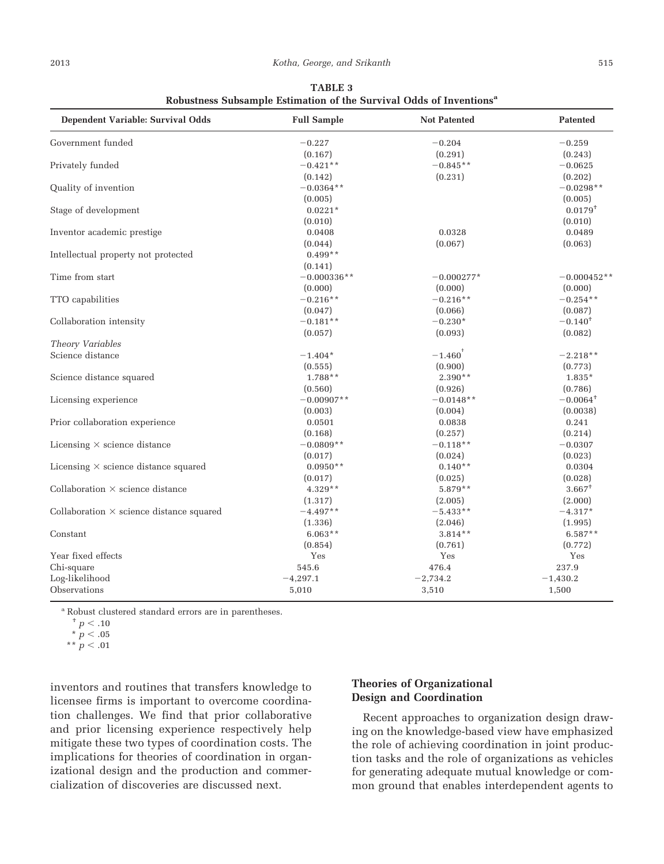| Dependent Variable: Survival Odds               | <b>Full Sample</b>       | <b>Not Patented</b>   | <b>Patented</b> |  |
|-------------------------------------------------|--------------------------|-----------------------|-----------------|--|
| Government funded                               | $-0.227$                 | $-0.204$              | $-0.259$        |  |
|                                                 | (0.167)                  | (0.291)               | (0.243)         |  |
| Privately funded                                | $-0.421**$<br>$-0.845**$ |                       | $-0.0625$       |  |
|                                                 | (0.142)                  | (0.231)               | (0.202)         |  |
| Quality of invention                            | $-0.0364**$              |                       | $-0.0298**$     |  |
|                                                 | (0.005)                  |                       | (0.005)         |  |
| Stage of development                            | $0.0221*$                |                       | $0.0179^{+}$    |  |
|                                                 | (0.010)                  |                       | (0.010)         |  |
| Inventor academic prestige                      | 0.0408                   | 0.0328                | 0.0489          |  |
|                                                 | (0.044)                  | (0.067)               | (0.063)         |  |
| Intellectual property not protected             | $0.499**$                |                       |                 |  |
|                                                 | (0.141)                  |                       |                 |  |
| Time from start                                 | $-0.000336**$            | $-0.000277*$          | $-0.000452**$   |  |
|                                                 | (0.000)                  | (0.000)               | (0.000)         |  |
| TTO capabilities                                | $-0.216**$               | $-0.216**$            | $-0.254**$      |  |
|                                                 | (0.047)                  | (0.066)               | (0.087)         |  |
| Collaboration intensity                         | $-0.181**$               | $-0.230*$             | $-0.140^{+}$    |  |
|                                                 | (0.057)                  | (0.093)               | (0.082)         |  |
| Theory Variables                                |                          |                       |                 |  |
| Science distance                                | $-1.404*$                | $-1.460$ <sup>+</sup> | $-2.218**$      |  |
|                                                 | (0.555)                  | (0.900)               | (0.773)         |  |
| Science distance squared                        | $1.788**$                | $2.390**$             | $1.835*$        |  |
|                                                 | (0.560)                  | (0.926)               | (0.786)         |  |
| Licensing experience                            | $-0.00907**$             | $-0.0148**$           | $-0.0064^+$     |  |
|                                                 | (0.003)                  | (0.004)               | (0.0038)        |  |
| Prior collaboration experience                  | 0.0501                   | 0.0838                | 0.241           |  |
|                                                 | (0.168)                  | (0.257)               | (0.214)         |  |
| Licensing $\times$ science distance             | $-0.0809**$              | $-0.118**$            | $-0.0307$       |  |
|                                                 | (0.017)                  | (0.024)               | (0.023)         |  |
| Licensing $\times$ science distance squared     | $0.0950**$               | $0.140**$             | 0.0304          |  |
|                                                 | (0.017)                  | (0.025)               | (0.028)         |  |
| Collaboration $\times$ science distance         | $4.329**$                | $5.879**$             | $3.667+$        |  |
|                                                 | (1.317)                  | (2.005)               | (2.000)         |  |
| Collaboration $\times$ science distance squared | $-4.497**$               | $-5.433**$            | $-4.317*$       |  |
|                                                 | (1.336)                  | (2.046)               | (1.995)         |  |
| Constant                                        | $6.063**$                | $3.814**$             | $6.587**$       |  |
|                                                 | (0.854)                  | (0.761)               | (0.772)         |  |
| Year fixed effects                              | Yes                      | Yes                   | Yes             |  |
| Chi-square                                      | 545.6                    | 476.4                 | 237.9           |  |
| Log-likelihood                                  | $-4,297.1$               | $-2,734.2$            | $-1,430.2$      |  |
| Observations                                    | 5,010                    | 3,510                 | 1,500           |  |

**TABLE 3 Robustness Subsample Estimation of the Survival Odds of Inventionsa**

<sup>a</sup> Robust clustered standard errors are in parentheses.

inventors and routines that transfers knowledge to licensee firms is important to overcome coordination challenges. We find that prior collaborative and prior licensing experience respectively help mitigate these two types of coordination costs. The implications for theories of coordination in organizational design and the production and commercialization of discoveries are discussed next.

# **Theories of Organizational Design and Coordination**

Recent approaches to organization design drawing on the knowledge-based view have emphasized the role of achieving coordination in joint production tasks and the role of organizations as vehicles for generating adequate mutual knowledge or common ground that enables interdependent agents to

 $p<.10$ 

 $*$   $p < .05$  $* * p < .01$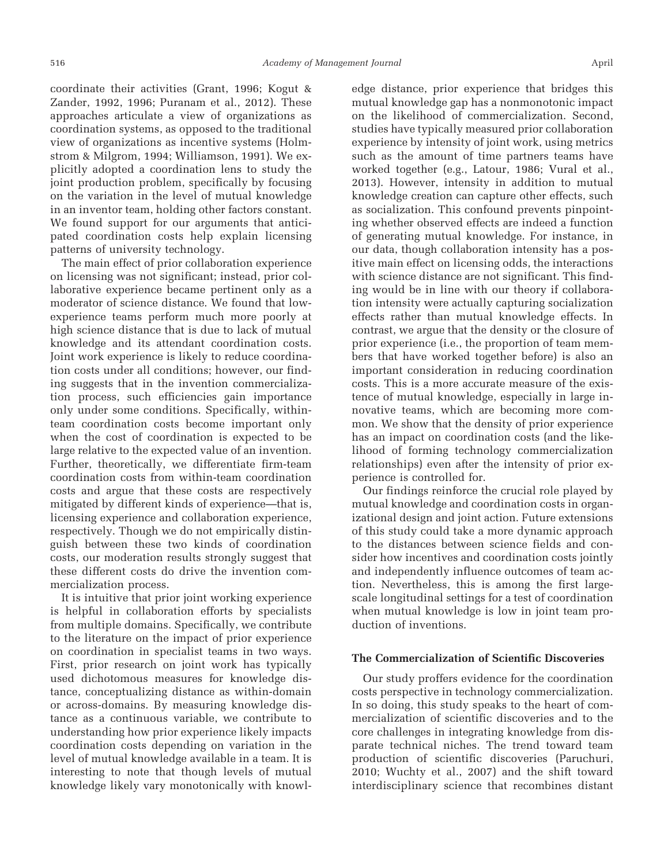coordinate their activities (Grant, 1996; Kogut & Zander, 1992, 1996; Puranam et al., 2012). These approaches articulate a view of organizations as coordination systems, as opposed to the traditional view of organizations as incentive systems (Holmstrom & Milgrom, 1994; Williamson, 1991). We explicitly adopted a coordination lens to study the joint production problem, specifically by focusing on the variation in the level of mutual knowledge in an inventor team, holding other factors constant. We found support for our arguments that anticipated coordination costs help explain licensing patterns of university technology.

The main effect of prior collaboration experience on licensing was not significant; instead, prior collaborative experience became pertinent only as a moderator of science distance. We found that lowexperience teams perform much more poorly at high science distance that is due to lack of mutual knowledge and its attendant coordination costs. Joint work experience is likely to reduce coordination costs under all conditions; however, our finding suggests that in the invention commercialization process, such efficiencies gain importance only under some conditions. Specifically, withinteam coordination costs become important only when the cost of coordination is expected to be large relative to the expected value of an invention. Further, theoretically, we differentiate firm-team coordination costs from within-team coordination costs and argue that these costs are respectively mitigated by different kinds of experience—that is, licensing experience and collaboration experience, respectively. Though we do not empirically distinguish between these two kinds of coordination costs, our moderation results strongly suggest that these different costs do drive the invention commercialization process.

It is intuitive that prior joint working experience is helpful in collaboration efforts by specialists from multiple domains. Specifically, we contribute to the literature on the impact of prior experience on coordination in specialist teams in two ways. First, prior research on joint work has typically used dichotomous measures for knowledge distance, conceptualizing distance as within-domain or across-domains. By measuring knowledge distance as a continuous variable, we contribute to understanding how prior experience likely impacts coordination costs depending on variation in the level of mutual knowledge available in a team. It is interesting to note that though levels of mutual knowledge likely vary monotonically with knowledge distance, prior experience that bridges this mutual knowledge gap has a nonmonotonic impact on the likelihood of commercialization. Second, studies have typically measured prior collaboration experience by intensity of joint work, using metrics such as the amount of time partners teams have worked together (e.g., Latour, 1986; Vural et al., 2013). However, intensity in addition to mutual knowledge creation can capture other effects, such as socialization. This confound prevents pinpointing whether observed effects are indeed a function of generating mutual knowledge. For instance, in our data, though collaboration intensity has a positive main effect on licensing odds, the interactions with science distance are not significant. This finding would be in line with our theory if collaboration intensity were actually capturing socialization effects rather than mutual knowledge effects. In contrast, we argue that the density or the closure of prior experience (i.e., the proportion of team members that have worked together before) is also an important consideration in reducing coordination costs. This is a more accurate measure of the existence of mutual knowledge, especially in large innovative teams, which are becoming more common. We show that the density of prior experience has an impact on coordination costs (and the likelihood of forming technology commercialization relationships) even after the intensity of prior experience is controlled for.

Our findings reinforce the crucial role played by mutual knowledge and coordination costs in organizational design and joint action. Future extensions of this study could take a more dynamic approach to the distances between science fields and consider how incentives and coordination costs jointly and independently influence outcomes of team action. Nevertheless, this is among the first largescale longitudinal settings for a test of coordination when mutual knowledge is low in joint team production of inventions.

## **The Commercialization of Scientific Discoveries**

Our study proffers evidence for the coordination costs perspective in technology commercialization. In so doing, this study speaks to the heart of commercialization of scientific discoveries and to the core challenges in integrating knowledge from disparate technical niches. The trend toward team production of scientific discoveries (Paruchuri, 2010; Wuchty et al., 2007) and the shift toward interdisciplinary science that recombines distant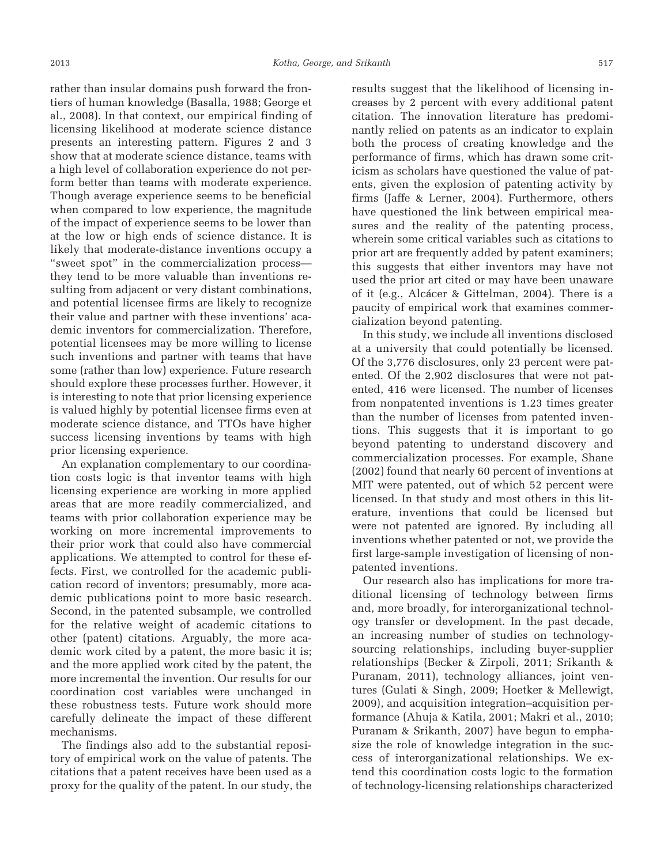rather than insular domains push forward the frontiers of human knowledge (Basalla, 1988; George et al., 2008). In that context, our empirical finding of licensing likelihood at moderate science distance presents an interesting pattern. Figures 2 and 3 show that at moderate science distance, teams with a high level of collaboration experience do not perform better than teams with moderate experience. Though average experience seems to be beneficial when compared to low experience, the magnitude of the impact of experience seems to be lower than at the low or high ends of science distance. It is likely that moderate-distance inventions occupy a "sweet spot" in the commercialization process they tend to be more valuable than inventions resulting from adjacent or very distant combinations, and potential licensee firms are likely to recognize their value and partner with these inventions' academic inventors for commercialization. Therefore, potential licensees may be more willing to license such inventions and partner with teams that have some (rather than low) experience. Future research should explore these processes further. However, it is interesting to note that prior licensing experience is valued highly by potential licensee firms even at moderate science distance, and TTOs have higher success licensing inventions by teams with high prior licensing experience.

An explanation complementary to our coordination costs logic is that inventor teams with high licensing experience are working in more applied areas that are more readily commercialized, and teams with prior collaboration experience may be working on more incremental improvements to their prior work that could also have commercial applications. We attempted to control for these effects. First, we controlled for the academic publication record of inventors; presumably, more academic publications point to more basic research. Second, in the patented subsample, we controlled for the relative weight of academic citations to other (patent) citations. Arguably, the more academic work cited by a patent, the more basic it is; and the more applied work cited by the patent, the more incremental the invention. Our results for our coordination cost variables were unchanged in these robustness tests. Future work should more carefully delineate the impact of these different mechanisms.

The findings also add to the substantial repository of empirical work on the value of patents. The citations that a patent receives have been used as a proxy for the quality of the patent. In our study, the

results suggest that the likelihood of licensing increases by 2 percent with every additional patent citation. The innovation literature has predominantly relied on patents as an indicator to explain both the process of creating knowledge and the performance of firms, which has drawn some criticism as scholars have questioned the value of patents, given the explosion of patenting activity by firms (Jaffe & Lerner, 2004). Furthermore, others have questioned the link between empirical measures and the reality of the patenting process, wherein some critical variables such as citations to prior art are frequently added by patent examiners; this suggests that either inventors may have not used the prior art cited or may have been unaware of it (e.g., Alcácer & Gittelman, 2004). There is a paucity of empirical work that examines commercialization beyond patenting.

In this study, we include all inventions disclosed at a university that could potentially be licensed. Of the 3,776 disclosures, only 23 percent were patented. Of the 2,902 disclosures that were not patented, 416 were licensed. The number of licenses from nonpatented inventions is 1.23 times greater than the number of licenses from patented inventions. This suggests that it is important to go beyond patenting to understand discovery and commercialization processes. For example, Shane (2002) found that nearly 60 percent of inventions at MIT were patented, out of which 52 percent were licensed. In that study and most others in this literature, inventions that could be licensed but were not patented are ignored. By including all inventions whether patented or not, we provide the first large-sample investigation of licensing of nonpatented inventions.

Our research also has implications for more traditional licensing of technology between firms and, more broadly, for interorganizational technology transfer or development. In the past decade, an increasing number of studies on technologysourcing relationships, including buyer-supplier relationships (Becker & Zirpoli, 2011; Srikanth & Puranam, 2011), technology alliances, joint ventures (Gulati & Singh, 2009; Hoetker & Mellewigt, 2009), and acquisition integration–acquisition performance (Ahuja & Katila, 2001; Makri et al., 2010; Puranam & Srikanth, 2007) have begun to emphasize the role of knowledge integration in the success of interorganizational relationships. We extend this coordination costs logic to the formation of technology-licensing relationships characterized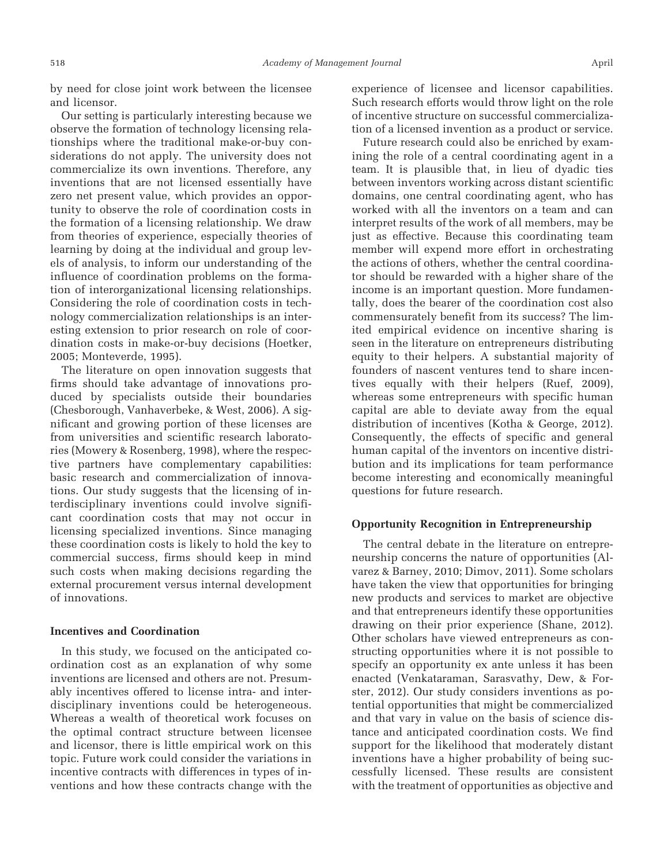by need for close joint work between the licensee and licensor.

Our setting is particularly interesting because we observe the formation of technology licensing relationships where the traditional make-or-buy considerations do not apply. The university does not commercialize its own inventions. Therefore, any inventions that are not licensed essentially have zero net present value, which provides an opportunity to observe the role of coordination costs in the formation of a licensing relationship. We draw from theories of experience, especially theories of learning by doing at the individual and group levels of analysis, to inform our understanding of the influence of coordination problems on the formation of interorganizational licensing relationships. Considering the role of coordination costs in technology commercialization relationships is an interesting extension to prior research on role of coordination costs in make-or-buy decisions (Hoetker, 2005; Monteverde, 1995).

The literature on open innovation suggests that firms should take advantage of innovations produced by specialists outside their boundaries (Chesborough, Vanhaverbeke, & West, 2006). A significant and growing portion of these licenses are from universities and scientific research laboratories (Mowery & Rosenberg, 1998), where the respective partners have complementary capabilities: basic research and commercialization of innovations. Our study suggests that the licensing of interdisciplinary inventions could involve significant coordination costs that may not occur in licensing specialized inventions. Since managing these coordination costs is likely to hold the key to commercial success, firms should keep in mind such costs when making decisions regarding the external procurement versus internal development of innovations.

## **Incentives and Coordination**

In this study, we focused on the anticipated coordination cost as an explanation of why some inventions are licensed and others are not. Presumably incentives offered to license intra- and interdisciplinary inventions could be heterogeneous. Whereas a wealth of theoretical work focuses on the optimal contract structure between licensee and licensor, there is little empirical work on this topic. Future work could consider the variations in incentive contracts with differences in types of inventions and how these contracts change with the

experience of licensee and licensor capabilities. Such research efforts would throw light on the role of incentive structure on successful commercialization of a licensed invention as a product or service.

Future research could also be enriched by examining the role of a central coordinating agent in a team. It is plausible that, in lieu of dyadic ties between inventors working across distant scientific domains, one central coordinating agent, who has worked with all the inventors on a team and can interpret results of the work of all members, may be just as effective. Because this coordinating team member will expend more effort in orchestrating the actions of others, whether the central coordinator should be rewarded with a higher share of the income is an important question. More fundamentally, does the bearer of the coordination cost also commensurately benefit from its success? The limited empirical evidence on incentive sharing is seen in the literature on entrepreneurs distributing equity to their helpers. A substantial majority of founders of nascent ventures tend to share incentives equally with their helpers (Ruef, 2009), whereas some entrepreneurs with specific human capital are able to deviate away from the equal distribution of incentives (Kotha & George, 2012). Consequently, the effects of specific and general human capital of the inventors on incentive distribution and its implications for team performance become interesting and economically meaningful questions for future research.

## **Opportunity Recognition in Entrepreneurship**

The central debate in the literature on entrepreneurship concerns the nature of opportunities (Alvarez & Barney, 2010; Dimov, 2011). Some scholars have taken the view that opportunities for bringing new products and services to market are objective and that entrepreneurs identify these opportunities drawing on their prior experience (Shane, 2012). Other scholars have viewed entrepreneurs as constructing opportunities where it is not possible to specify an opportunity ex ante unless it has been enacted (Venkataraman, Sarasvathy, Dew, & Forster, 2012). Our study considers inventions as potential opportunities that might be commercialized and that vary in value on the basis of science distance and anticipated coordination costs. We find support for the likelihood that moderately distant inventions have a higher probability of being successfully licensed. These results are consistent with the treatment of opportunities as objective and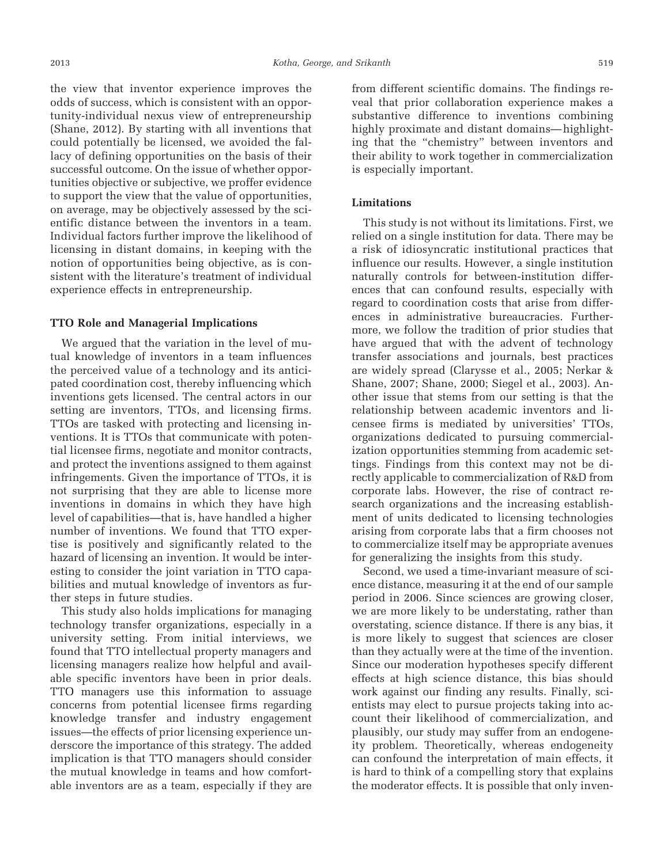the view that inventor experience improves the odds of success, which is consistent with an opportunity-individual nexus view of entrepreneurship (Shane, 2012). By starting with all inventions that could potentially be licensed, we avoided the fallacy of defining opportunities on the basis of their successful outcome. On the issue of whether opportunities objective or subjective, we proffer evidence to support the view that the value of opportunities, on average, may be objectively assessed by the scientific distance between the inventors in a team. Individual factors further improve the likelihood of licensing in distant domains, in keeping with the notion of opportunities being objective, as is consistent with the literature's treatment of individual experience effects in entrepreneurship.

#### **TTO Role and Managerial Implications**

We argued that the variation in the level of mutual knowledge of inventors in a team influences the perceived value of a technology and its anticipated coordination cost, thereby influencing which inventions gets licensed. The central actors in our setting are inventors, TTOs, and licensing firms. TTOs are tasked with protecting and licensing inventions. It is TTOs that communicate with potential licensee firms, negotiate and monitor contracts, and protect the inventions assigned to them against infringements. Given the importance of TTOs, it is not surprising that they are able to license more inventions in domains in which they have high level of capabilities—that is, have handled a higher number of inventions. We found that TTO expertise is positively and significantly related to the hazard of licensing an invention. It would be interesting to consider the joint variation in TTO capabilities and mutual knowledge of inventors as further steps in future studies.

This study also holds implications for managing technology transfer organizations, especially in a university setting. From initial interviews, we found that TTO intellectual property managers and licensing managers realize how helpful and available specific inventors have been in prior deals. TTO managers use this information to assuage concerns from potential licensee firms regarding knowledge transfer and industry engagement issues—the effects of prior licensing experience underscore the importance of this strategy. The added implication is that TTO managers should consider the mutual knowledge in teams and how comfortable inventors are as a team, especially if they are

from different scientific domains. The findings reveal that prior collaboration experience makes a substantive difference to inventions combining highly proximate and distant domains—highlighting that the "chemistry" between inventors and their ability to work together in commercialization is especially important.

## **Limitations**

This study is not without its limitations. First, we relied on a single institution for data. There may be a risk of idiosyncratic institutional practices that influence our results. However, a single institution naturally controls for between-institution differences that can confound results, especially with regard to coordination costs that arise from differences in administrative bureaucracies. Furthermore, we follow the tradition of prior studies that have argued that with the advent of technology transfer associations and journals, best practices are widely spread (Clarysse et al., 2005; Nerkar & Shane, 2007; Shane, 2000; Siegel et al., 2003). Another issue that stems from our setting is that the relationship between academic inventors and licensee firms is mediated by universities' TTOs, organizations dedicated to pursuing commercialization opportunities stemming from academic settings. Findings from this context may not be directly applicable to commercialization of R&D from corporate labs. However, the rise of contract research organizations and the increasing establishment of units dedicated to licensing technologies arising from corporate labs that a firm chooses not to commercialize itself may be appropriate avenues for generalizing the insights from this study.

Second, we used a time-invariant measure of science distance, measuring it at the end of our sample period in 2006. Since sciences are growing closer, we are more likely to be understating, rather than overstating, science distance. If there is any bias, it is more likely to suggest that sciences are closer than they actually were at the time of the invention. Since our moderation hypotheses specify different effects at high science distance, this bias should work against our finding any results. Finally, scientists may elect to pursue projects taking into account their likelihood of commercialization, and plausibly, our study may suffer from an endogeneity problem. Theoretically, whereas endogeneity can confound the interpretation of main effects, it is hard to think of a compelling story that explains the moderator effects. It is possible that only inven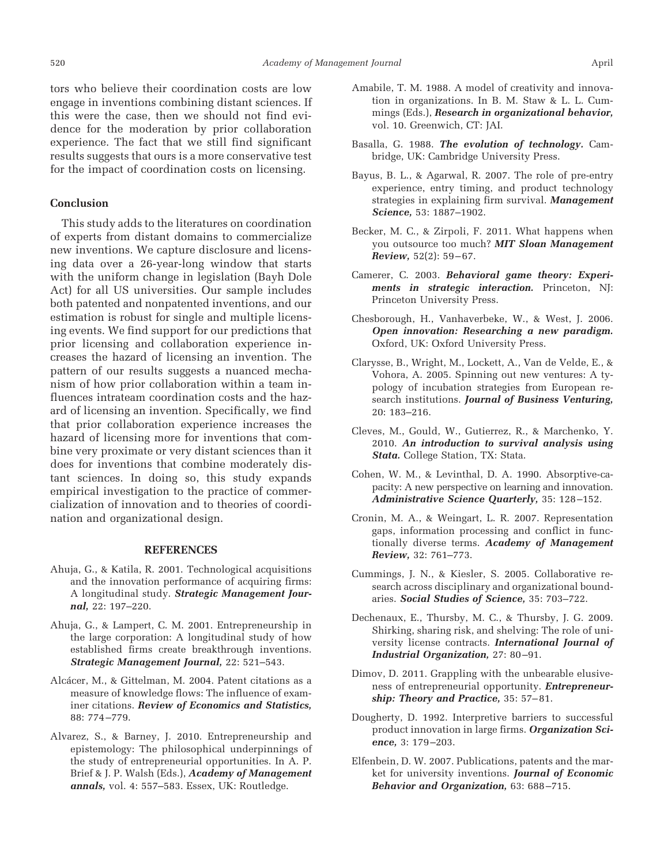tors who believe their coordination costs are low engage in inventions combining distant sciences. If this were the case, then we should not find evidence for the moderation by prior collaboration experience. The fact that we still find significant results suggests that ours is a more conservative test for the impact of coordination costs on licensing.

## **Conclusion**

This study adds to the literatures on coordination of experts from distant domains to commercialize new inventions. We capture disclosure and licensing data over a 26-year-long window that starts with the uniform change in legislation (Bayh Dole Act) for all US universities. Our sample includes both patented and nonpatented inventions, and our estimation is robust for single and multiple licensing events. We find support for our predictions that prior licensing and collaboration experience increases the hazard of licensing an invention. The pattern of our results suggests a nuanced mechanism of how prior collaboration within a team influences intrateam coordination costs and the hazard of licensing an invention. Specifically, we find that prior collaboration experience increases the hazard of licensing more for inventions that combine very proximate or very distant sciences than it does for inventions that combine moderately distant sciences. In doing so, this study expands empirical investigation to the practice of commercialization of innovation and to theories of coordination and organizational design.

#### **REFERENCES**

- Ahuja, G., & Katila, R. 2001. Technological acquisitions and the innovation performance of acquiring firms: A longitudinal study. *Strategic Management Journal,* 22: 197–220.
- Ahuja, G., & Lampert, C. M. 2001. Entrepreneurship in the large corporation: A longitudinal study of how established firms create breakthrough inventions. *Strategic Management Journal,* 22: 521–543.
- Alcácer, M., & Gittelman, M. 2004. Patent citations as a measure of knowledge flows: The influence of examiner citations. *Review of Economics and Statistics,* 88: 774–779.
- Alvarez, S., & Barney, J. 2010. Entrepreneurship and epistemology: The philosophical underpinnings of the study of entrepreneurial opportunities. In A. P. Brief & J. P. Walsh (Eds.), *Academy of Management annals,* vol. 4: 557–583. Essex, UK: Routledge.
- Amabile, T. M. 1988. A model of creativity and innovation in organizations. In B. M. Staw & L. L. Cummings (Eds.), *Research in organizational behavior,* vol. 10. Greenwich, CT: JAI.
- Basalla, G. 1988. *The evolution of technology.* Cambridge, UK: Cambridge University Press.
- Bayus, B. L., & Agarwal, R. 2007. The role of pre-entry experience, entry timing, and product technology strategies in explaining firm survival. *Management Science,* 53: 1887–1902.
- Becker, M. C., & Zirpoli, F. 2011. What happens when you outsource too much? *MIT Sloan Management Review,* 52(2): 59–67.
- Camerer, C. 2003. *Behavioral game theory: Experiments in strategic interaction.* Princeton, NJ: Princeton University Press.
- Chesborough, H., Vanhaverbeke, W., & West, J. 2006. *Open innovation: Researching a new paradigm.* Oxford, UK: Oxford University Press.
- Clarysse, B., Wright, M., Lockett, A., Van de Velde, E., & Vohora, A. 2005. Spinning out new ventures: A typology of incubation strategies from European research institutions. *Journal of Business Venturing,* 20: 183–216.
- Cleves, M., Gould, W., Gutierrez, R., & Marchenko, Y. 2010. *An introduction to survival analysis using Stata.* College Station, TX: Stata.
- Cohen, W. M., & Levinthal, D. A. 1990. Absorptive-capacity: A new perspective on learning and innovation. *Administrative Science Quarterly,* 35: 128–152.
- Cronin, M. A., & Weingart, L. R. 2007. Representation gaps, information processing and conflict in functionally diverse terms. *Academy of Management Review,* 32: 761–773.
- Cummings, J. N., & Kiesler, S. 2005. Collaborative research across disciplinary and organizational boundaries. *Social Studies of Science,* 35: 703–722.
- Dechenaux, E., Thursby, M. C., & Thursby, J. G. 2009. Shirking, sharing risk, and shelving: The role of university license contracts. *International Journal of Industrial Organization,* 27: 80–91.
- Dimov, D. 2011. Grappling with the unbearable elusiveness of entrepreneurial opportunity. *Entrepreneurship: Theory and Practice,* 35: 57–81.
- Dougherty, D. 1992. Interpretive barriers to successful product innovation in large firms. *Organization Science,* 3: 179–203.
- Elfenbein, D. W. 2007. Publications, patents and the market for university inventions. *Journal of Economic Behavior and Organization,* 63: 688–715.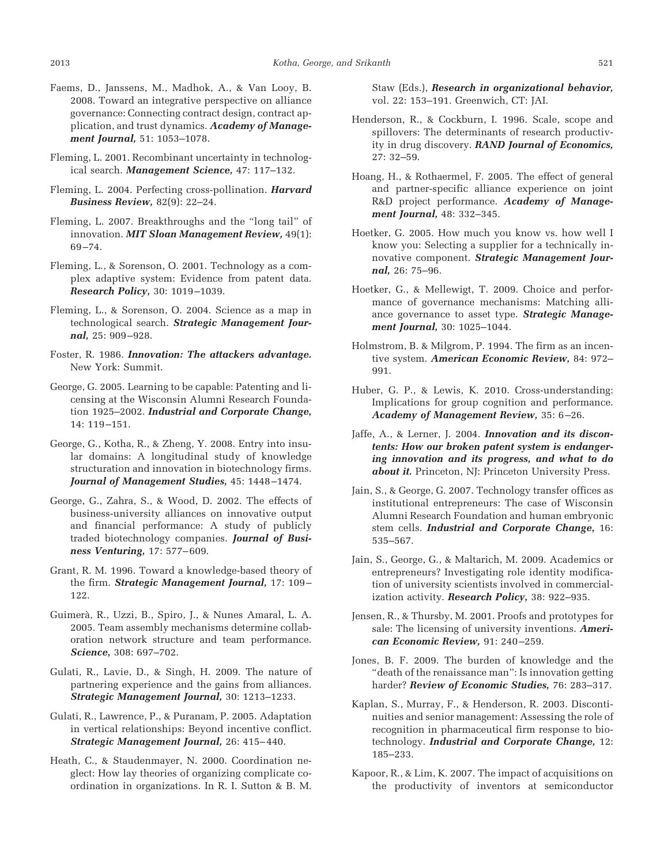- Faems, D., Janssens, M., Madhok, A., & Van Looy, B. 2008. Toward an integrative perspective on alliance governance: Connecting contract design, contract application, and trust dynamics. *Academy of Management Journal,* 51: 1053–1078.
- Fleming, L. 2001. Recombinant uncertainty in technological search. *Management Science,* 47: 117–132.
- Fleming, L. 2004. Perfecting cross-pollination. *Harvard Business Review,* 82(9): 22–24.
- Fleming, L. 2007. Breakthroughs and the "long tail" of innovation. *MIT Sloan Management Review,* 49(1): 69–74.
- Fleming, L., & Sorenson, O. 2001. Technology as a complex adaptive system: Evidence from patent data. *Research Policy,* 30: 1019–1039.
- Fleming, L., & Sorenson, O. 2004. Science as a map in technological search. *Strategic Management Journal,* 25: 909–928.
- Foster, R. 1986. *Innovation: The attackers advantage.* New York: Summit.
- George, G. 2005. Learning to be capable: Patenting and licensing at the Wisconsin Alumni Research Foundation 1925–2002. *Industrial and Corporate Change,* 14: 119–151.
- George, G., Kotha, R., & Zheng, Y. 2008. Entry into insular domains: A longitudinal study of knowledge structuration and innovation in biotechnology firms. *Journal of Management Studies,* 45: 1448–1474.
- George, G., Zahra, S., & Wood, D. 2002. The effects of business-university alliances on innovative output and financial performance: A study of publicly traded biotechnology companies. *Journal of Business Venturing,* 17: 577–609.
- Grant, R. M. 1996. Toward a knowledge-based theory of the firm. *Strategic Management Journal,* 17: 109– 122.
- Guimerà, R., Uzzi, B., Spiro, J., & Nunes Amaral, L. A. 2005. Team assembly mechanisms determine collaboration network structure and team performance. *Science,* 308: 697–702.
- Gulati, R., Lavie, D., & Singh, H. 2009. The nature of partnering experience and the gains from alliances. *Strategic Management Journal,* 30: 1213–1233.
- Gulati, R., Lawrence, P., & Puranam, P. 2005. Adaptation in vertical relationships: Beyond incentive conflict. *Strategic Management Journal,* 26: 415–440.
- Heath, C., & Staudenmayer, N. 2000. Coordination neglect: How lay theories of organizing complicate coordination in organizations. In R. I. Sutton & B. M.

Staw (Eds.), *Research in organizational behavior,* vol. 22: 153–191. Greenwich, CT: JAI.

- Henderson, R., & Cockburn, I. 1996. Scale, scope and spillovers: The determinants of research productivity in drug discovery. *RAND Journal of Economics,* 27: 32–59.
- Hoang, H., & Rothaermel, F. 2005. The effect of general and partner-specific alliance experience on joint R&D project performance. *Academy of Management Journal,* 48: 332–345.
- Hoetker, G. 2005. How much you know vs. how well I know you: Selecting a supplier for a technically innovative component. *Strategic Management Journal,* 26: 75–96.
- Hoetker, G., & Mellewigt, T. 2009. Choice and performance of governance mechanisms: Matching alliance governance to asset type. *Strategic Management Journal,* 30: 1025–1044.
- Holmstrom, B. & Milgrom, P. 1994. The firm as an incentive system. *American Economic Review,* 84: 972– 991.
- Huber, G. P., & Lewis, K. 2010. Cross-understanding: Implications for group cognition and performance. *Academy of Management Review,* 35: 6–26.
- Jaffe, A., & Lerner, J. 2004. *Innovation and its discontents: How our broken patent system is endangering innovation and its progress, and what to do about it.* Princeton, NJ: Princeton University Press.
- Jain, S., & George, G. 2007. Technology transfer offices as institutional entrepreneurs: The case of Wisconsin Alumni Research Foundation and human embryonic stem cells. *Industrial and Corporate Change,* 16: 535–567.
- Jain, S., George, G., & Maltarich, M. 2009. Academics or entrepreneurs? Investigating role identity modification of university scientists involved in commercialization activity. *Research Policy,* 38: 922–935.
- Jensen, R., & Thursby, M. 2001. Proofs and prototypes for sale: The licensing of university inventions. *American Economic Review,* 91: 240–259.
- Jones, B. F. 2009. The burden of knowledge and the "death of the renaissance man": Is innovation getting harder? *Review of Economic Studies,* 76: 283–317.
- Kaplan, S., Murray, F., & Henderson, R. 2003. Discontinuities and senior management: Assessing the role of recognition in pharmaceutical firm response to biotechnology. *Industrial and Corporate Change,* 12: 185–233.
- Kapoor, R., & Lim, K. 2007. The impact of acquisitions on the productivity of inventors at semiconductor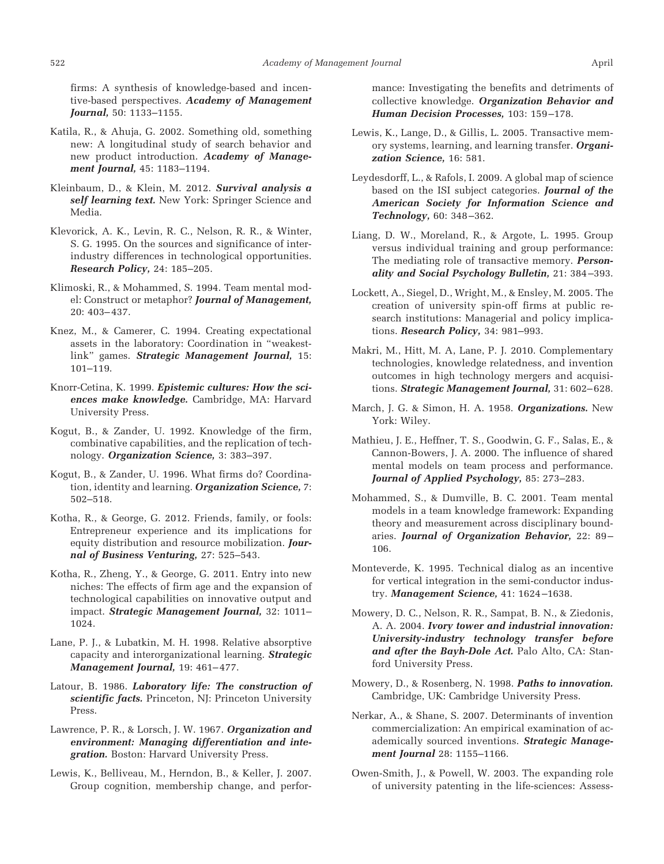firms: A synthesis of knowledge-based and incentive-based perspectives. *Academy of Management Journal,* 50: 1133–1155.

- Katila, R., & Ahuja, G. 2002. Something old, something new: A longitudinal study of search behavior and new product introduction. *Academy of Management Journal,* 45: 1183–1194.
- Kleinbaum, D., & Klein, M. 2012. *Survival analysis a self learning text.* New York: Springer Science and Media.
- Klevorick, A. K., Levin, R. C., Nelson, R. R., & Winter, S. G. 1995. On the sources and significance of interindustry differences in technological opportunities. *Research Policy,* 24: 185–205.
- Klimoski, R., & Mohammed, S. 1994. Team mental model: Construct or metaphor? *Journal of Management,* 20: 403–437.
- Knez, M., & Camerer, C. 1994. Creating expectational assets in the laboratory: Coordination in "weakestlink" games. *Strategic Management Journal,* 15: 101–119.
- Knorr-Cetina, K. 1999. *Epistemic cultures: How the sciences make knowledge.* Cambridge, MA: Harvard University Press.
- Kogut, B., & Zander, U. 1992. Knowledge of the firm, combinative capabilities, and the replication of technology. *Organization Science,* 3: 383–397.
- Kogut, B., & Zander, U. 1996. What firms do? Coordination, identity and learning. *Organization Science,* 7: 502–518.
- Kotha, R., & George, G. 2012. Friends, family, or fools: Entrepreneur experience and its implications for equity distribution and resource mobilization. *Journal of Business Venturing,* 27: 525–543.
- Kotha, R., Zheng, Y., & George, G. 2011. Entry into new niches: The effects of firm age and the expansion of technological capabilities on innovative output and impact. *Strategic Management Journal,* 32: 1011– 1024.
- Lane, P. J., & Lubatkin, M. H. 1998. Relative absorptive capacity and interorganizational learning. *Strategic Management Journal,* 19: 461–477.
- Latour, B. 1986. *Laboratory life: The construction of scientific facts.* Princeton, NJ: Princeton University Press.
- Lawrence, P. R., & Lorsch, J. W. 1967. *Organization and environment: Managing differentiation and integration.* Boston: Harvard University Press.
- Lewis, K., Belliveau, M., Herndon, B., & Keller, J. 2007. Group cognition, membership change, and perfor-

mance: Investigating the benefits and detriments of collective knowledge. *Organization Behavior and Human Decision Processes,* 103: 159–178.

- Lewis, K., Lange, D., & Gillis, L. 2005. Transactive memory systems, learning, and learning transfer. *Organization Science,* 16: 581.
- Leydesdorff, L., & Rafols, I. 2009. A global map of science based on the ISI subject categories. *Journal of the American Society for Information Science and Technology,* 60: 348–362.
- Liang, D. W., Moreland, R., & Argote, L. 1995. Group versus individual training and group performance: The mediating role of transactive memory. *Personality and Social Psychology Bulletin,* 21: 384–393.
- Lockett, A., Siegel, D., Wright, M., & Ensley, M. 2005. The creation of university spin-off firms at public research institutions: Managerial and policy implications. *Research Policy,* 34: 981–993.
- Makri, M., Hitt, M. A, Lane, P. J. 2010. Complementary technologies, knowledge relatedness, and invention outcomes in high technology mergers and acquisitions. *Strategic Management Journal,* 31: 602–628.
- March, J. G. & Simon, H. A. 1958. *Organizations.* New York: Wiley.
- Mathieu, J. E., Heffner, T. S., Goodwin, G. F., Salas, E., & Cannon-Bowers, J. A. 2000. The influence of shared mental models on team process and performance. *Journal of Applied Psychology,* 85: 273–283.
- Mohammed, S., & Dumville, B. C. 2001. Team mental models in a team knowledge framework: Expanding theory and measurement across disciplinary boundaries. *Journal of Organization Behavior,* 22: 89– 106.
- Monteverde, K. 1995. Technical dialog as an incentive for vertical integration in the semi-conductor industry. *Management Science,* 41: 1624–1638.
- Mowery, D. C., Nelson, R. R., Sampat, B. N., & Ziedonis, A. A. 2004. *Ivory tower and industrial innovation: University-industry technology transfer before and after the Bayh-Dole Act.* Palo Alto, CA: Stanford University Press.
- Mowery, D., & Rosenberg, N. 1998. *Paths to innovation.* Cambridge, UK: Cambridge University Press.
- Nerkar, A., & Shane, S. 2007. Determinants of invention commercialization: An empirical examination of academically sourced inventions. *Strategic Management Journal* 28: 1155–1166.
- Owen-Smith, J., & Powell, W. 2003. The expanding role of university patenting in the life-sciences: Assess-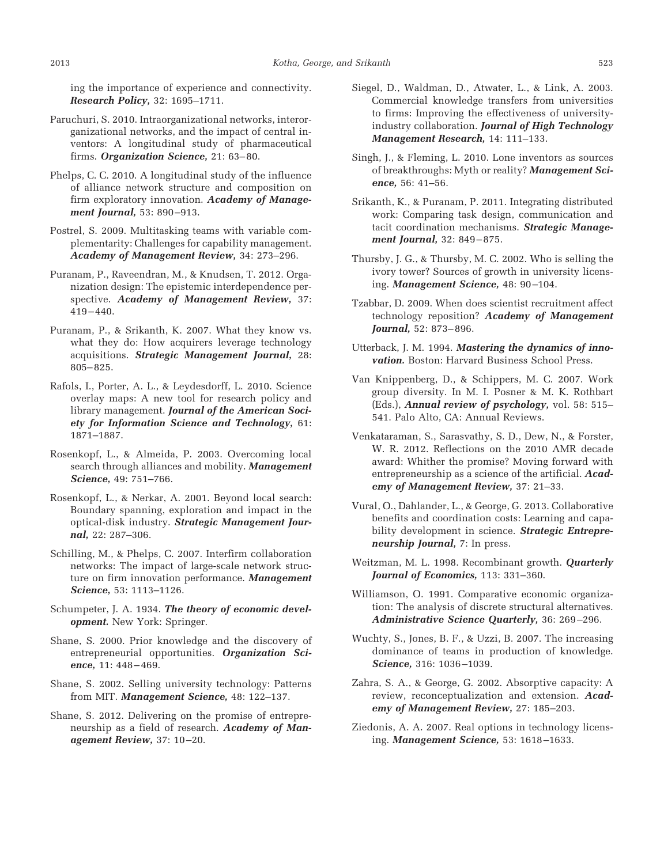ing the importance of experience and connectivity. *Research Policy,* 32: 1695–1711.

- Paruchuri, S. 2010. Intraorganizational networks, interorganizational networks, and the impact of central inventors: A longitudinal study of pharmaceutical firms. *Organization Science,* 21: 63–80.
- Phelps, C. C. 2010. A longitudinal study of the influence of alliance network structure and composition on firm exploratory innovation. *Academy of Management Journal,* 53: 890–913.
- Postrel, S. 2009. Multitasking teams with variable complementarity: Challenges for capability management. *Academy of Management Review,* 34: 273–296.
- Puranam, P., Raveendran, M., & Knudsen, T. 2012. Organization design: The epistemic interdependence perspective. *Academy of Management Review,* 37: 419–440.
- Puranam, P., & Srikanth, K. 2007. What they know vs. what they do: How acquirers leverage technology acquisitions. *Strategic Management Journal,* 28: 805–825.
- Rafols, I., Porter, A. L., & Leydesdorff, L. 2010. Science overlay maps: A new tool for research policy and library management. *Journal of the American Society for Information Science and Technology,* 61: 1871–1887.
- Rosenkopf, L., & Almeida, P. 2003. Overcoming local search through alliances and mobility. *Management Science,* 49: 751–766.
- Rosenkopf, L., & Nerkar, A. 2001. Beyond local search: Boundary spanning, exploration and impact in the optical-disk industry. *Strategic Management Journal,* 22: 287–306.
- Schilling, M., & Phelps, C. 2007. Interfirm collaboration networks: The impact of large-scale network structure on firm innovation performance. *Management Science,* 53: 1113–1126.
- Schumpeter, J. A. 1934. *The theory of economic development.* New York: Springer.
- Shane, S. 2000. Prior knowledge and the discovery of entrepreneurial opportunities. *Organization Science,* 11: 448–469.
- Shane, S. 2002. Selling university technology: Patterns from MIT. *Management Science,* 48: 122–137.
- Shane, S. 2012. Delivering on the promise of entrepreneurship as a field of research. *Academy of Management Review,* 37: 10–20.
- Siegel, D., Waldman, D., Atwater, L., & Link, A. 2003. Commercial knowledge transfers from universities to firms: Improving the effectiveness of universityindustry collaboration. *Journal of High Technology Management Research,* 14: 111–133.
- Singh, J., & Fleming, L. 2010. Lone inventors as sources of breakthroughs: Myth or reality? *Management Science,* 56: 41–56.
- Srikanth, K., & Puranam, P. 2011. Integrating distributed work: Comparing task design, communication and tacit coordination mechanisms. *Strategic Management Journal,* 32: 849–875.
- Thursby, J. G., & Thursby, M. C. 2002. Who is selling the ivory tower? Sources of growth in university licensing. *Management Science,* 48: 90–104.
- Tzabbar, D. 2009. When does scientist recruitment affect technology reposition? *Academy of Management Journal,* 52: 873–896.
- Utterback, J. M. 1994. *Mastering the dynamics of innovation.* Boston: Harvard Business School Press.
- Van Knippenberg, D., & Schippers, M. C. 2007. Work group diversity. In M. I. Posner & M. K. Rothbart (Eds.), *Annual review of psychology,* vol. 58: 515– 541. Palo Alto, CA: Annual Reviews.
- Venkataraman, S., Sarasvathy, S. D., Dew, N., & Forster, W. R. 2012. Reflections on the 2010 AMR decade award: Whither the promise? Moving forward with entrepreneurship as a science of the artificial. *Academy of Management Review,* 37: 21–33.
- Vural, O., Dahlander, L., & George, G. 2013. Collaborative benefits and coordination costs: Learning and capability development in science. *Strategic Entrepreneurship Journal,* 7: In press.
- Weitzman, M. L. 1998. Recombinant growth. *Quarterly Journal of Economics,* 113: 331–360.
- Williamson, O. 1991. Comparative economic organization: The analysis of discrete structural alternatives. *Administrative Science Quarterly,* 36: 269–296.
- Wuchty, S., Jones, B. F., & Uzzi, B. 2007. The increasing dominance of teams in production of knowledge. *Science,* 316: 1036–1039.
- Zahra, S. A., & George, G. 2002. Absorptive capacity: A review, reconceptualization and extension. *Academy of Management Review,* 27: 185–203.
- Ziedonis, A. A. 2007. Real options in technology licensing. *Management Science,* 53: 1618–1633.